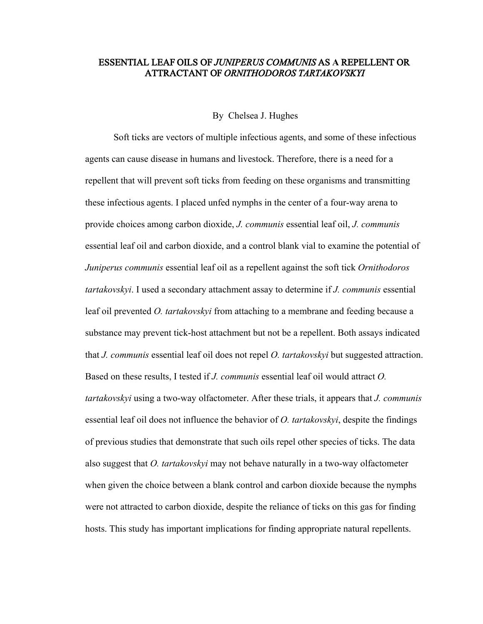# ESSENTIAL LEAF OILS OF *JUNIPERUS COMMUNIS* AS **A** REPELLENT OR ATTRACTANT OF *ORNITHODOROS TARTAKOVSKYI*

#### By Chelsea J. Hughes

Soft ticks are vectors of multiple infectious agents, and some of these infectious agents can cause disease in humans and livestock. Therefore, there is a need for a repellent that will prevent soft ticks from feeding on these organisms and transmitting these infectious agents. I placed unfed nymphs in the center of a four-way arena to provide choices among carbon dioxide, *J. communis* essential leaf oil, *J. communis*  essential leaf oil and carbon dioxide, and a control blank vial to examine the potential of *Juniperus communis* essential leaf oil as a repellent against the soft tick *Ornithodoros tartakovskyi*. I used a secondary attachment assay to determine if *J. communis* essential leaf oil prevented *O. tartakovskyi* from attaching to a membrane and feeding because a substance may prevent tick-host attachment but not be a repellent. Both assays indicated that *J. communis* essential leaf oil does not repel *O. tartakovskyi* but suggested attraction. Based on these results, I tested if *J. communis* essential leaf oil would attract *O. tartakovskyi* using a two-way olfactometer. After these trials, it appears that *J. communis*  essential leaf oil does not influence the behavior of *O. tartakovskyi*, despite the findings of previous studies that demonstrate that such oils repel other species of ticks. The data also suggest that *O. tartakovskyi* may not behave naturally in a two-way olfactometer when given the choice between a blank control and carbon dioxide because the nymphs were not attracted to carbon dioxide, despite the reliance of ticks on this gas for finding hosts. This study has important implications for finding appropriate natural repellents.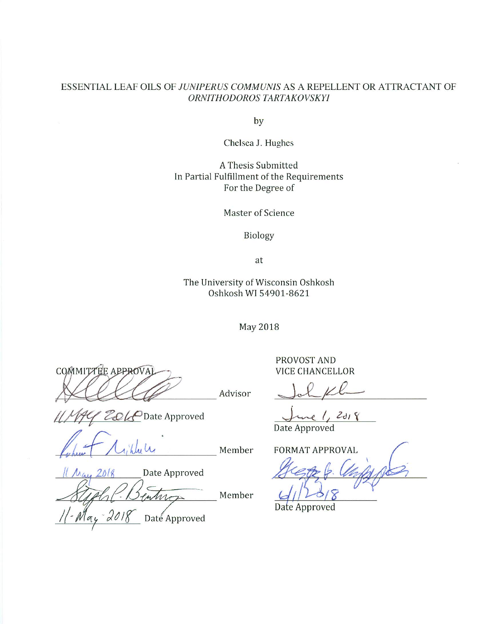# ESSENTIAL LEAF OILS OF JUNIPERUS COMMUNIS AS A REPELLENT OR ATTRACTANT OF ORNITHODOROS TARTAKOVSKYI

by

Chelsea J. Hughes

A Thesis Submitted In Partial Fulfillment of the Requirements For the Degree of

**Master of Science** 

Biology

at

The University of Wisconsin Oshkosh Oshkosh WI 54901-8621

**May 2018** 

COMMITTEE APPROVAL

ZOLP Date Approved

Member

Member

Advisor

Date Approved  $201$ 

Date Approved

PROVOST AND **VICE CHANCELLOR** 

 $2d18$ 

Date Approved

**FORMAT APPROVAL** 

Date Approved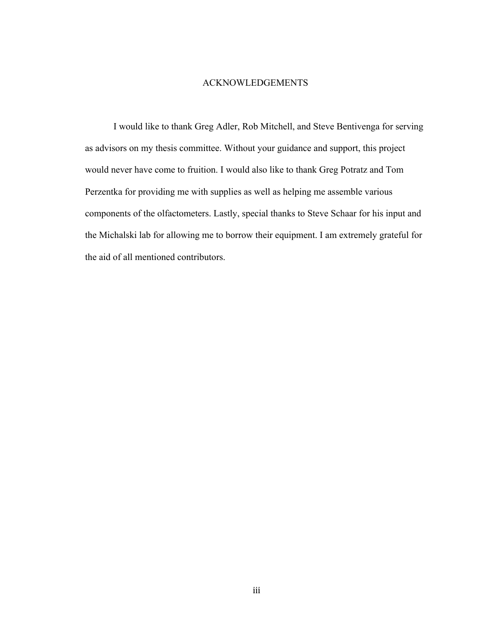# ACKNOWLEDGEMENTS

I would like to thank Greg Adler, Rob Mitchell, and Steve Bentivenga for serving as advisors on my thesis committee. Without your guidance and support, this project would never have come to fruition. I would also like to thank Greg Potratz and Tom Perzentka for providing me with supplies as well as helping me assemble various components of the olfactometers. Lastly, special thanks to Steve Schaar for his input and the Michalski lab for allowing me to borrow their equipment. I am extremely grateful for the aid of all mentioned contributors.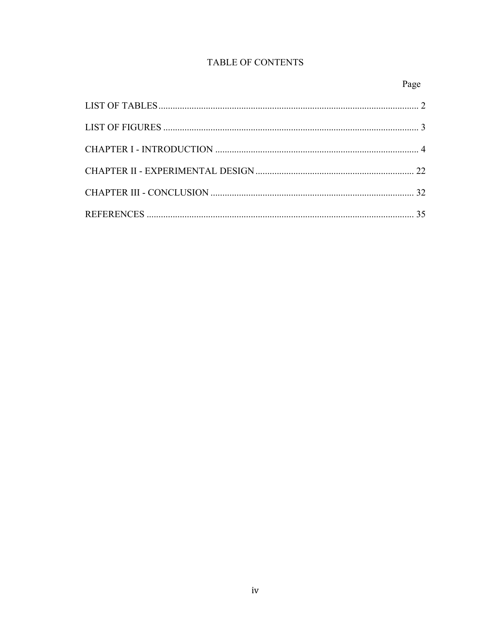# TABLE OF CONTENTS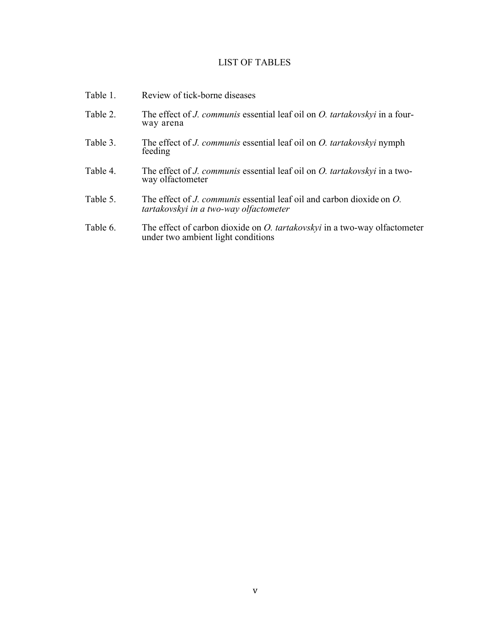# LIST OF TABLES

| Table 1. | Review of tick-borne diseases                                                                                                 |
|----------|-------------------------------------------------------------------------------------------------------------------------------|
| Table 2. | The effect of <i>J. communis</i> essential leaf oil on <i>O. tartakovskyi</i> in a four-<br>way arena                         |
| Table 3. | The effect of <i>J. communis</i> essential leaf oil on <i>O. tartakovskyi</i> nymph<br>feeding                                |
| Table 4. | The effect of <i>J. communis</i> essential leaf oil on <i>O. tartakovskyi</i> in a two-<br>way olfactometer                   |
| Table 5. | The effect of <i>J. communis</i> essential leaf oil and carbon dioxide on <i>O.</i><br>tartakovskyi in a two-way olfactometer |
| Table 6. | The effect of carbon dioxide on <i>O. tartakovskyi</i> in a two-way olfactometer<br>under two ambient light conditions        |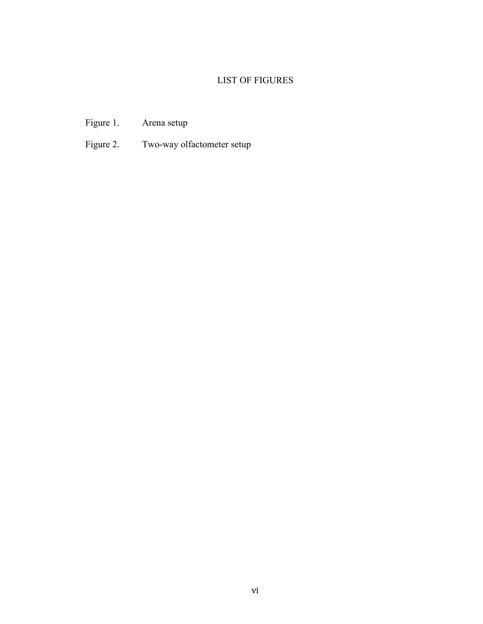# LIST OF FIGURES

- Figure 1. Arena setup
- Figure 2. Two-way olfactometer setup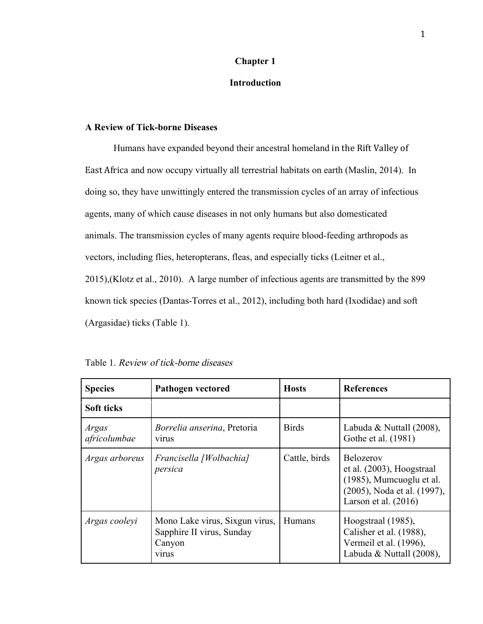# **Chapter 1**

# **Introduction**

# **A Review of Tick-borne Diseases**

Humans have expanded beyond their ancestral homeland in the Rift Valley of East Africa and now occupy virtually all terrestrial habitats on earth (Maslin, 2014). In doing so, they have unwittingly entered the transmission cycles of an array of infectious agents, many of which cause diseases in not only humans but also domesticated animals. The transmission cycles of many agents require blood-feeding arthropods as vectors, including flies, heteropterans, fleas, and especially ticks (Leitner et al., 2015),(Klotz et al., 2010). A large number of infectious agents are transmitted by the 899 known tick species (Dantas-Torres et al., 2012), including both hard (Ixodidae) and soft (Argasidae) ticks (Table 1).

| Table 1. Review of tick-borne diseases |
|----------------------------------------|
|----------------------------------------|

| <b>Species</b>        | <b>Pathogen vectored</b>                                                              | <b>Hosts</b>  | <b>References</b>                                                                                                                     |
|-----------------------|---------------------------------------------------------------------------------------|---------------|---------------------------------------------------------------------------------------------------------------------------------------|
| Soft ticks            |                                                                                       |               |                                                                                                                                       |
| Argas<br>africolumbae | <i>Borrelia anserina</i> , Pretoria<br><b>VITUS</b>                                   | <b>Birds</b>  | Labuda & Nuttall $(2008)$ ,<br>Gothe et al. (1981)                                                                                    |
| Argas arboreus        | Francisella [Wolbachia]<br>persica                                                    | Cattle, birds | <b>Belozerov</b><br>$et al. (2003)$ , Hoogstraal<br>(1985), Mumcuoglu et al.<br>(2005), Noda et al. (1997),<br>Larson et al. $(2016)$ |
| Argas cooleyi         | Mono Lake virus, Sixgun virus,<br>Sapphire II virus, Sunday<br>Canyon<br><b>VITUS</b> | Humans        | Hoogstraal (1985),<br>Calisher et al. (1988),<br>Vermeil et al. (1996),<br>Labuda & Nuttall (2008),                                   |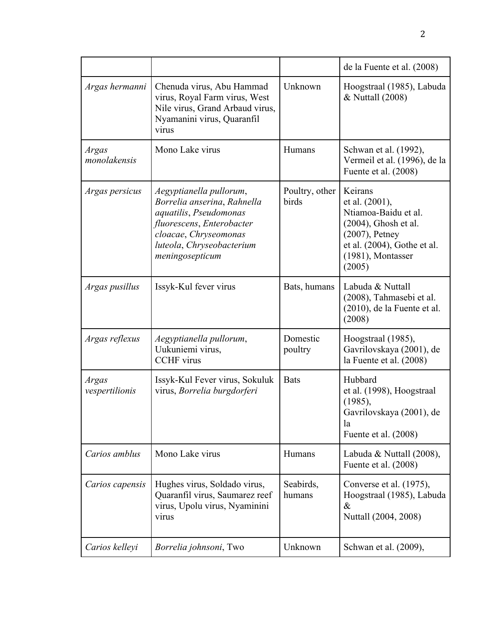|                                |                                                                                                                                                                                        |                         | de la Fuente et al. (2008)                                                                                                                                      |
|--------------------------------|----------------------------------------------------------------------------------------------------------------------------------------------------------------------------------------|-------------------------|-----------------------------------------------------------------------------------------------------------------------------------------------------------------|
| Argas hermanni                 | Chenuda virus, Abu Hammad<br>virus, Royal Farm virus, West<br>Nile virus, Grand Arbaud virus,<br>Nyamanini virus, Quaranfil<br>virus                                                   | Unknown                 | Hoogstraal (1985), Labuda<br>& Nuttall (2008)                                                                                                                   |
| <b>Argas</b><br>monolakensis   | Mono Lake virus                                                                                                                                                                        | Humans                  | Schwan et al. (1992),<br>Vermeil et al. (1996), de la<br>Fuente et al. (2008)                                                                                   |
| Argas persicus                 | Aegyptianella pullorum,<br>Borrelia anserina, Rahnella<br>aquatilis, Pseudomonas<br>fluorescens, Enterobacter<br>cloacae, Chryseomonas<br>luteola, Chryseobacterium<br>meningosepticum | Poultry, other<br>birds | Keirans<br>et al. (2001),<br>Ntiamoa-Baidu et al.<br>$(2004)$ , Ghosh et al.<br>$(2007)$ , Petney<br>et al. (2004), Gothe et al.<br>(1981), Montasser<br>(2005) |
| Argas pusillus                 | Issyk-Kul fever virus                                                                                                                                                                  | Bats, humans            | Labuda & Nuttall<br>(2008), Tahmasebi et al.<br>(2010), de la Fuente et al.<br>(2008)                                                                           |
| Argas reflexus                 | Aegyptianella pullorum,<br>Uukuniemi virus,<br><b>CCHF</b> virus                                                                                                                       | Domestic<br>poultry     | Hoogstraal (1985),<br>Gavrilovskaya (2001), de<br>la Fuente et al. (2008)                                                                                       |
| <b>Argas</b><br>vespertilionis | Issyk-Kul Fever virus, Sokuluk<br>virus, Borrelia burgdorferi                                                                                                                          | <b>Bats</b>             | Hubbard<br>et al. (1998), Hoogstraal<br>(1985),<br>Gavrilovskaya (2001), de<br>la<br>Fuente et al. (2008)                                                       |
| Carios amblus                  | Mono Lake virus                                                                                                                                                                        | Humans                  | Labuda & Nuttall $(2008)$ ,<br>Fuente et al. (2008)                                                                                                             |
| Carios capensis                | Hughes virus, Soldado virus,<br>Quaranfil virus, Saumarez reef<br>virus, Upolu virus, Nyaminini<br>virus                                                                               | Seabirds,<br>humans     | Converse et al. (1975),<br>Hoogstraal (1985), Labuda<br>$\&$<br>Nuttall (2004, 2008)                                                                            |
| Carios kelleyi                 | Borrelia johnsoni, Two                                                                                                                                                                 | Unknown                 | Schwan et al. (2009),                                                                                                                                           |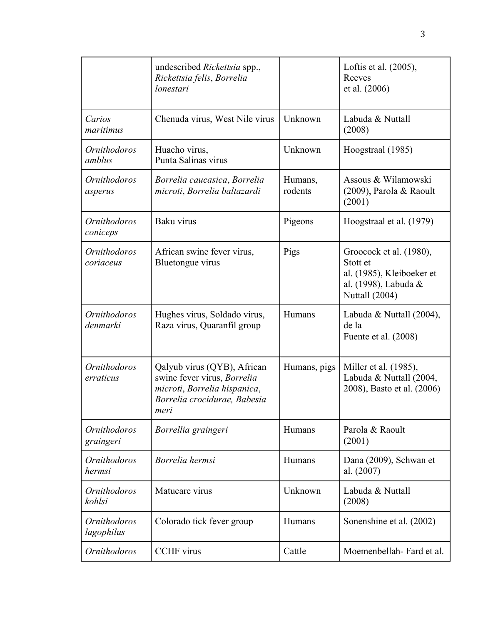|                                   | undescribed <i>Rickettsia</i> spp.,<br>Rickettsia felis, Borrelia<br>lonestari                                                     |                    | Loftis et al. (2005),<br>Reeves<br>et al. (2006)                                                           |
|-----------------------------------|------------------------------------------------------------------------------------------------------------------------------------|--------------------|------------------------------------------------------------------------------------------------------------|
| Carios<br>maritimus               | Chenuda virus, West Nile virus                                                                                                     | Unknown            | Labuda & Nuttall<br>(2008)                                                                                 |
| <b>Ornithodoros</b><br>amblus     | Huacho virus,<br>Punta Salinas virus                                                                                               | Unknown            | Hoogstraal (1985)                                                                                          |
| Ornithodoros<br>asperus           | Borrelia caucasica, Borrelia<br>microti, Borrelia baltazardi                                                                       | Humans,<br>rodents | Assous & Wilamowski<br>(2009), Parola & Raoult<br>(2001)                                                   |
| <b>Ornithodoros</b><br>coniceps   | Baku virus                                                                                                                         | Pigeons            | Hoogstraal et al. (1979)                                                                                   |
| <i>Ornithodoros</i><br>coriaceus  | African swine fever virus,<br>Bluetongue virus                                                                                     | Pigs               | Groocock et al. (1980),<br>Stott et<br>al. (1985), Kleiboeker et<br>al. (1998), Labuda &<br>Nuttall (2004) |
| <b>Ornithodoros</b><br>denmarki   | Hughes virus, Soldado virus,<br>Raza virus, Quaranfil group                                                                        | Humans             | Labuda & Nuttall (2004),<br>de la<br>Fuente et al. (2008)                                                  |
| <b>Ornithodoros</b><br>erraticus  | Qalyub virus (QYB), African<br>swine fever virus, Borrelia<br>microti, Borrelia hispanica,<br>Borrelia crocidurae, Babesia<br>meri | Humans, pigs       | Miller et al. (1985),<br>Labuda & Nuttall (2004,<br>2008), Basto et al. (2006)                             |
| <i>Ornithodoros</i><br>graingeri  | Borrellia graingeri                                                                                                                | Humans             | Parola & Raoult<br>(2001)                                                                                  |
| <b>Ornithodoros</b><br>hermsi     | Borrelia hermsi                                                                                                                    | Humans             | Dana (2009), Schwan et<br>al. (2007)                                                                       |
| <b>Ornithodoros</b><br>kohlsi     | Matucare virus                                                                                                                     | Unknown            | Labuda & Nuttall<br>(2008)                                                                                 |
| <i>Ornithodoros</i><br>lagophilus | Colorado tick fever group                                                                                                          | Humans             | Sonenshine et al. (2002)                                                                                   |
| <b>Ornithodoros</b>               | <b>CCHF</b> virus                                                                                                                  | Cattle             | Moemenbellah-Fard et al.                                                                                   |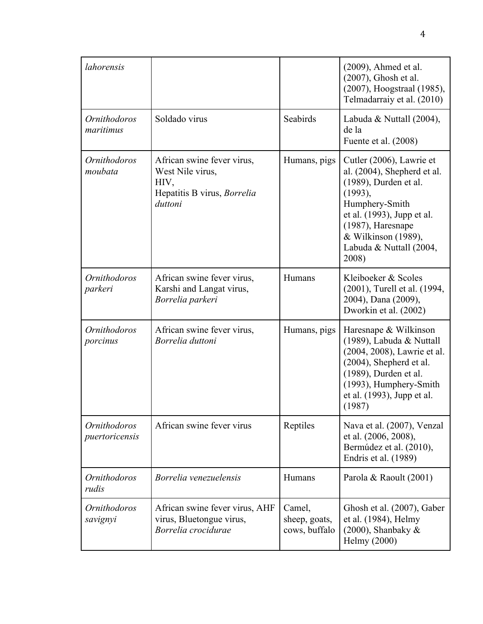| lahorensis                            |                                                                                                  |                                          | $(2009)$ , Ahmed et al.<br>(2007), Ghosh et al.<br>(2007), Hoogstraal (1985),<br>Telmadarraiy et al. (2010)                                                                                                                    |
|---------------------------------------|--------------------------------------------------------------------------------------------------|------------------------------------------|--------------------------------------------------------------------------------------------------------------------------------------------------------------------------------------------------------------------------------|
| <i>Ornithodoros</i><br>maritimus      | Soldado virus                                                                                    | Seabirds                                 | Labuda & Nuttall $(2004)$ ,<br>de la<br>Fuente et al. (2008)                                                                                                                                                                   |
| <b>Ornithodoros</b><br>moubata        | African swine fever virus,<br>West Nile virus,<br>HIV,<br>Hepatitis B virus, Borrelia<br>duttoni | Humans, pigs                             | Cutler (2006), Lawrie et<br>al. $(2004)$ , Shepherd et al.<br>(1989), Durden et al.<br>(1993),<br>Humphery-Smith<br>et al. (1993), Jupp et al.<br>(1987), Haresnape<br>& Wilkinson (1989),<br>Labuda & Nuttall (2004,<br>2008) |
| <b>Ornithodoros</b><br>parkeri        | African swine fever virus,<br>Karshi and Langat virus,<br>Borrelia parkeri                       | Humans                                   | Kleiboeker & Scoles<br>(2001), Turell et al. (1994,<br>2004), Dana (2009),<br>Dworkin et al. (2002)                                                                                                                            |
| <b>Ornithodoros</b><br>porcinus       | African swine fever virus,<br>Borrelia duttoni                                                   | Humans, pigs                             | Haresnape & Wilkinson<br>(1989), Labuda & Nuttall<br>(2004, 2008), Lawrie et al.<br>(2004), Shepherd et al.<br>(1989), Durden et al.<br>(1993), Humphery-Smith<br>et al. (1993), Jupp et al.<br>(1987)                         |
| <b>Ornithodoros</b><br>puertoricensis | African swine fever virus                                                                        | Reptiles                                 | Nava et al. (2007), Venzal<br>et al. (2006, 2008),<br>Bermúdez et al. (2010),<br>Endris et al. (1989)                                                                                                                          |
| <i><b>Ornithodoros</b></i><br>rudis   | Borrelia venezuelensis                                                                           | Humans                                   | Parola & Raoult (2001)                                                                                                                                                                                                         |
| Ornithodoros<br>savignyi              | African swine fever virus, AHF<br>virus, Bluetongue virus,<br>Borrelia crocidurae                | Camel,<br>sheep, goats,<br>cows, buffalo | Ghosh et al. (2007), Gaber<br>et al. (1984), Helmy<br>$(2000)$ , Shanbaky &<br>Helmy (2000)                                                                                                                                    |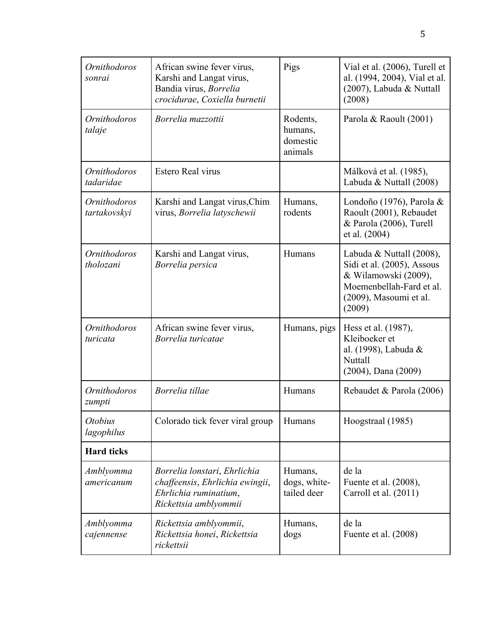| <i><b>Ornithodoros</b></i><br>sonrai | African swine fever virus,<br>Karshi and Langat virus,<br>Bandia virus, Borrelia<br>crocidurae, Coxiella burnetii | Pigs                                       | Vial et al. (2006), Turell et<br>al. (1994, 2004), Vial et al.<br>(2007), Labuda & Nuttall<br>(2008)                                           |
|--------------------------------------|-------------------------------------------------------------------------------------------------------------------|--------------------------------------------|------------------------------------------------------------------------------------------------------------------------------------------------|
| Ornithodoros<br>talaje               | Borrelia mazzottii                                                                                                | Rodents,<br>humans,<br>domestic<br>animals | Parola & Raoult (2001)                                                                                                                         |
| Ornithodoros<br>tadaridae            | Estero Real virus                                                                                                 |                                            | Málková et al. (1985),<br>Labuda & Nuttall (2008)                                                                                              |
| Ornithodoros<br>tartakovskyi         | Karshi and Langat virus, Chim<br>virus, Borrelia latyschewii                                                      | Humans,<br>rodents                         | Londoño (1976), Parola $\&$<br>Raoult (2001), Rebaudet<br>& Parola (2006), Turell<br>et al. (2004)                                             |
| <i>Ornithodoros</i><br>tholozani     | Karshi and Langat virus,<br>Borrelia persica                                                                      | Humans                                     | Labuda & Nuttall (2008),<br>Sidi et al. (2005), Assous<br>& Wilamowski (2009),<br>Moemenbellah-Fard et al.<br>(2009), Masoumi et al.<br>(2009) |
| Ornithodoros<br>turicata             | African swine fever virus,<br>Borrelia turicatae                                                                  | Humans, pigs                               | Hess et al. (1987),<br>Kleiboeker et<br>al. (1998), Labuda &<br>Nuttall<br>$(2004)$ , Dana $(2009)$                                            |
| <b>Ornithodoros</b><br>zumpti        | Borrelia tillae                                                                                                   | Humans                                     | Rebaudet & Parola (2006)                                                                                                                       |
| <i><b>Otobius</b></i><br>lagophilus  | Colorado tick fever viral group                                                                                   | Humans                                     | Hoogstraal (1985)                                                                                                                              |
| <b>Hard ticks</b>                    |                                                                                                                   |                                            |                                                                                                                                                |
| Amblyomma<br>americanum              | Borrelia lonstari, Ehrlichia<br>chaffeensis, Ehrlichia ewingii,<br>Ehrlichia ruminatium,<br>Rickettsia amblyommii | Humans,<br>dogs, white-<br>tailed deer     | de la<br>Fuente et al. (2008),<br>Carroll et al. (2011)                                                                                        |
| Amblyomma<br>cajennense              | Rickettsia amblyommii,<br>Rickettsia honei, Rickettsia<br>rickettsii                                              | Humans,<br>dogs                            | de la<br>Fuente et al. (2008)                                                                                                                  |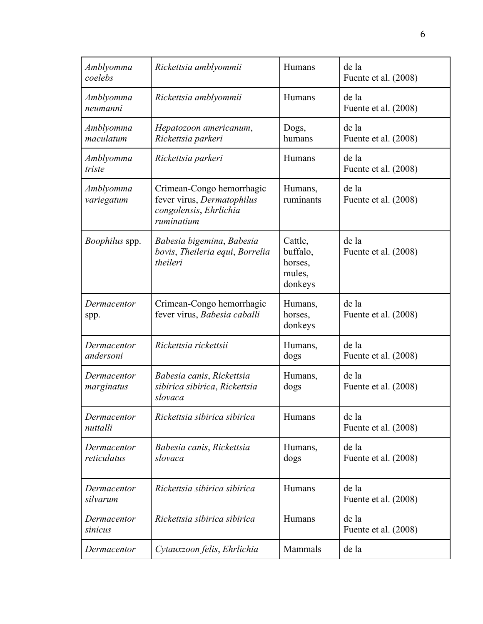| Amblyomma<br>coelebs       | Rickettsia amblyommii                                                                           | Humans                                              | de la<br>Fuente et al. (2008) |
|----------------------------|-------------------------------------------------------------------------------------------------|-----------------------------------------------------|-------------------------------|
| Amblyomma<br>neumanni      | Rickettsia amblyommii                                                                           | Humans                                              | de la<br>Fuente et al. (2008) |
| Amblyomma<br>maculatum     | Hepatozoon americanum,<br>Rickettsia parkeri                                                    | Dogs,<br>humans                                     | de la<br>Fuente et al. (2008) |
| Amblyomma<br>triste        | Rickettsia parkeri                                                                              | Humans                                              | de la<br>Fuente et al. (2008) |
| Amblyomma<br>variegatum    | Crimean-Congo hemorrhagic<br>fever virus, Dermatophilus<br>congolensis, Ehrlichia<br>ruminatium | Humans,<br>ruminants                                | de la<br>Fuente et al. (2008) |
| Boophilus spp.             | Babesia bigemina, Babesia<br>bovis, Theileria equi, Borrelia<br>theileri                        | Cattle,<br>buffalo,<br>horses,<br>mules,<br>donkeys | de la<br>Fuente et al. (2008) |
| Dermacentor<br>spp.        | Crimean-Congo hemorrhagic<br>fever virus, Babesia caballi                                       | Humans,<br>horses,<br>donkeys                       | de la<br>Fuente et al. (2008) |
| Dermacentor<br>andersoni   | Rickettsia rickettsii                                                                           | Humans,<br>dogs                                     | de la<br>Fuente et al. (2008) |
| Dermacentor<br>marginatus  | Babesia canis, Rickettsia<br>sibirica sibirica, Rickettsia<br>slovaca                           | Humans,<br>dogs                                     | de la<br>Fuente et al. (2008) |
| Dermacentor<br>nuttalli    | Rickettsia sibirica sibirica                                                                    | Humans                                              | de la<br>Fuente et al. (2008) |
| Dermacentor<br>reticulatus | Babesia canis, Rickettsia<br>slovaca                                                            | Humans,<br>dogs                                     | de la<br>Fuente et al. (2008) |
| Dermacentor<br>silvarum    | Rickettsia sibirica sibirica                                                                    | Humans                                              | de la<br>Fuente et al. (2008) |
| Dermacentor<br>sinicus     | Rickettsia sibirica sibirica                                                                    | Humans                                              | de la<br>Fuente et al. (2008) |
| Dermacentor                | Cytauxzoon felis, Ehrlichia                                                                     | Mammals                                             | de la                         |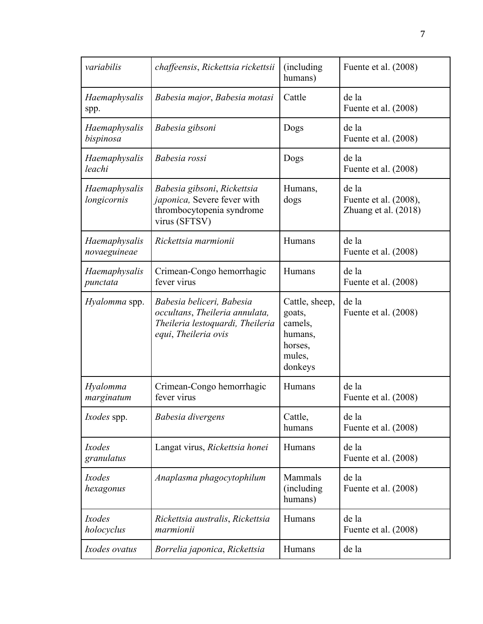| variabilis                    | chaffeensis, Rickettsia rickettsii                                                                                      | (including)<br>humans)                                                         | Fuente et al. (2008)                                     |
|-------------------------------|-------------------------------------------------------------------------------------------------------------------------|--------------------------------------------------------------------------------|----------------------------------------------------------|
| Haemaphysalis<br>spp.         | Babesia major, Babesia motasi                                                                                           | Cattle                                                                         | de la<br>Fuente et al. (2008)                            |
| Haemaphysalis<br>bispinosa    | Babesia gibsoni                                                                                                         | Dogs                                                                           | de la<br>Fuente et al. (2008)                            |
| Haemaphysalis<br>leachi       | Babesia rossi                                                                                                           | Dogs                                                                           | de la<br>Fuente et al. (2008)                            |
| Haemaphysalis<br>longicornis  | Babesia gibsoni, Rickettsia<br>japonica, Severe fever with<br>thrombocytopenia syndrome<br>virus (SFTSV)                | Humans,<br>dogs                                                                | de la<br>Fuente et al. (2008),<br>Zhuang et al. $(2018)$ |
| Haemaphysalis<br>novaeguineae | Rickettsia marmionii                                                                                                    | Humans                                                                         | de la<br>Fuente et al. (2008)                            |
| Haemaphysalis<br>punctata     | Crimean-Congo hemorrhagic<br>fever virus                                                                                | Humans                                                                         | de la<br>Fuente et al. (2008)                            |
| Hyalomma spp.                 | Babesia beliceri, Babesia<br>occultans, Theileria annulata,<br>Theileria lestoquardi, Theileria<br>equi, Theileria ovis | Cattle, sheep,<br>goats,<br>camels,<br>humans,<br>horses,<br>mules,<br>donkeys | de la<br>Fuente et al. (2008)                            |
| Hyalomma<br>marginatum        | Crimean-Congo hemorrhagic<br>fever virus                                                                                | Humans                                                                         | de la<br>Fuente et al. (2008)                            |
| <i>Ixodes</i> spp.            | Babesia divergens                                                                                                       | Cattle,<br>humans                                                              | de la<br>Fuente et al. (2008)                            |
| Ixodes<br>granulatus          | Langat virus, Rickettsia honei                                                                                          | Humans                                                                         | de la<br>Fuente et al. $(2008)$                          |
| Ixodes<br>hexagonus           | Anaplasma phagocytophilum                                                                                               | Mammals<br>(including)<br>humans)                                              | de la<br>Fuente et al. (2008)                            |
| Ixodes<br>holocyclus          | Rickettsia australis, Rickettsia<br>marmionii                                                                           | Humans                                                                         | de la<br>Fuente et al. (2008)                            |
| Ixodes ovatus                 | Borrelia japonica, Rickettsia                                                                                           | Humans                                                                         | de la                                                    |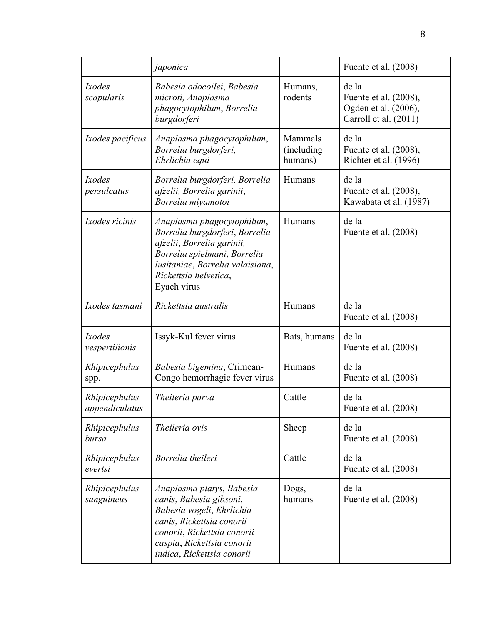|                                 | japonica                                                                                                                                                                                                  |                                   | Fuente et al. (2008)                                                            |
|---------------------------------|-----------------------------------------------------------------------------------------------------------------------------------------------------------------------------------------------------------|-----------------------------------|---------------------------------------------------------------------------------|
| Ixodes<br>scapularis            | Babesia odocoilei, Babesia<br>microti, Anaplasma<br>phagocytophilum, Borrelia<br>burgdorferi                                                                                                              | Humans,<br>rodents                | de la<br>Fuente et al. (2008),<br>Ogden et al. (2006),<br>Carroll et al. (2011) |
| Ixodes pacificus                | Anaplasma phagocytophilum,<br>Borrelia burgdorferi,<br>Ehrlichia equi                                                                                                                                     | Mammals<br>(including)<br>humans) | de la<br>Fuente et al. (2008),<br>Richter et al. (1996)                         |
| Ixodes<br>persulcatus           | Borrelia burgdorferi, Borrelia<br>afzelii, Borrelia garinii,<br>Borrelia miyamotoi                                                                                                                        | Humans                            | de la<br>Fuente et al. (2008),<br>Kawabata et al. (1987)                        |
| Ixodes ricinis                  | Anaplasma phagocytophilum,<br>Borrelia burgdorferi, Borrelia<br>afzelii, Borrelia garinii,<br>Borrelia spielmani, Borrelia<br>lusitaniae, Borrelia valaisiana,<br>Rickettsia helvetica,<br>Eyach virus    | Humans                            | de la<br>Fuente et al. (2008)                                                   |
| Ixodes tasmani                  | Rickettsia australis                                                                                                                                                                                      | Humans                            | de la<br>Fuente et al. (2008)                                                   |
| Ixodes<br>vespertilionis        | Issyk-Kul fever virus                                                                                                                                                                                     | Bats, humans                      | de la<br>Fuente et al. (2008)                                                   |
| Rhipicephulus<br>spp.           | Babesia bigemina, Crimean-<br>Congo hemorrhagic fever virus                                                                                                                                               | Humans                            | de la<br>Fuente et al. (2008)                                                   |
| Rhipicephulus<br>appendiculatus | Theileria parva                                                                                                                                                                                           | Cattle                            | de la<br>Fuente et al. (2008)                                                   |
| Rhipicephulus<br>bursa          | Theileria ovis                                                                                                                                                                                            | Sheep                             | de la<br>Fuente et al. (2008)                                                   |
| Rhipicephulus<br>evertsi        | Borrelia theileri                                                                                                                                                                                         | Cattle                            | de la<br>Fuente et al. (2008)                                                   |
| Rhipicephulus<br>sanguineus     | Anaplasma platys, Babesia<br>canis, Babesia gibsoni,<br>Babesia vogeli, Ehrlichia<br>canis, Rickettsia conorii<br>conorii, Rickettsia conorii<br>caspia, Rickettsia conorii<br>indica, Rickettsia conorii | Dogs,<br>humans                   | de la<br>Fuente et al. (2008)                                                   |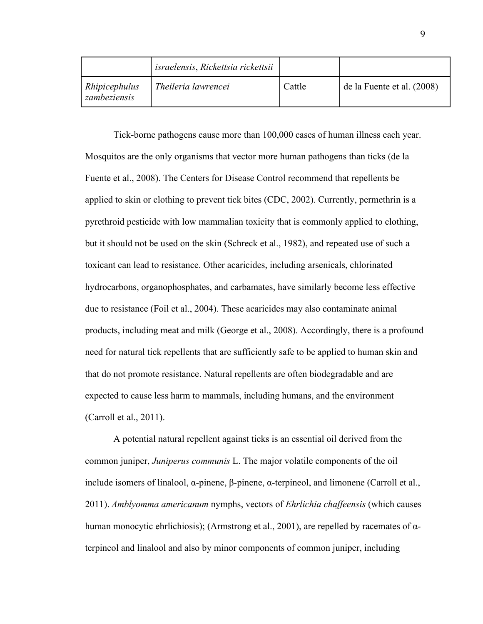|                               | israelensis, Rickettsia rickettsii |        |                            |
|-------------------------------|------------------------------------|--------|----------------------------|
| Rhipicephulus<br>zambeziensis | Theileria lawrencei                | Cattle | de la Fuente et al. (2008) |

Tick-borne pathogens cause more than 100,000 cases of human illness each year. Mosquitos are the only organisms that vector more human pathogens than ticks (de la Fuente et al., 2008). The Centers for Disease Control recommend that repellents be applied to skin or clothing to prevent tick bites (CDC, 2002). Currently, permethrin is a pyrethroid pesticide with low mammalian toxicity that is commonly applied to clothing, but it should not be used on the skin (Schreck et al., 1982), and repeated use of such a toxicant can lead to resistance. Other acaricides, including arsenicals, chlorinated hydrocarbons, organophosphates, and carbamates, have similarly become less effective due to resistance (Foil et al., 2004). These acaricides may also contaminate animal products, including meat and milk (George et al., 2008). Accordingly, there is a profound need for natural tick repellents that are sufficiently safe to be applied to human skin and that do not promote resistance. Natural repellents are often biodegradable and are expected to cause less harm to mammals, including humans, and the environment (Carroll et al., 2011).

A potential natural repellent against ticks is an essential oil derived from the common juniper, *Juniperus communis* L. The major volatile components of the oil include isomers of linalool, α-pinene, β-pinene, α-terpineol, and limonene (Carroll et al., 2011). *Amblyomma americanum* nymphs, vectors of *Ehrlichia chaffeensis* (which causes human monocytic ehrlichiosis); (Armstrong et al., 2001), are repelled by racemates of αterpineol and linalool and also by minor components of common juniper, including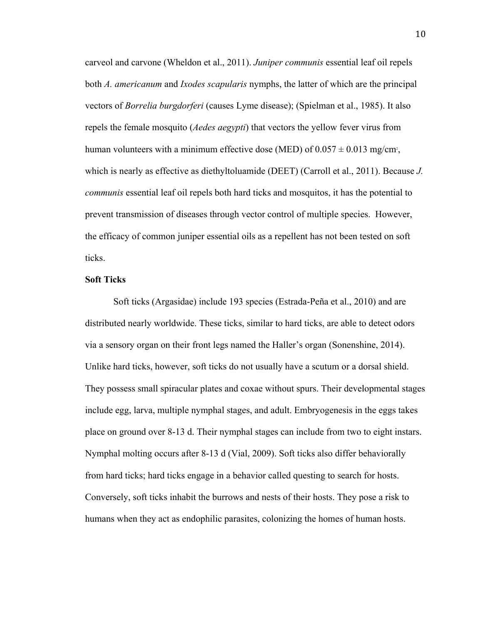carveol and carvone (Wheldon et al., 2011). *Juniper communis* essential leaf oil repels both *A. americanum* and *Ixodes scapularis* nymphs, the latter of which are the principal vectors of *Borrelia burgdorferi* (causes Lyme disease); (Spielman et al., 1985). It also repels the female mosquito (*Aedes aegypti*) that vectors the yellow fever virus from human volunteers with a minimum effective dose (MED) of  $0.057 \pm 0.013$  mg/cm<sup>2</sup>, which is nearly as effective as diethyltoluamide (DEET) (Carroll et al., 2011). Because *J. communis* essential leaf oil repels both hard ticks and mosquitos, it has the potential to prevent transmission of diseases through vector control of multiple species. However, the efficacy of common juniper essential oils as a repellent has not been tested on soft ticks.

#### **Soft Ticks**

Soft ticks (Argasidae) include 193 species (Estrada-Peña et al., 2010) and are distributed nearly worldwide. These ticks, similar to hard ticks, are able to detect odors via a sensory organ on their front legs named the Haller's organ (Sonenshine, 2014). Unlike hard ticks, however, soft ticks do not usually have a scutum or a dorsal shield. They possess small spiracular plates and coxae without spurs. Their developmental stages include egg, larva, multiple nymphal stages, and adult. Embryogenesis in the eggs takes place on ground over 8-13 d. Their nymphal stages can include from two to eight instars. Nymphal molting occurs after 8-13 d (Vial, 2009). Soft ticks also differ behaviorally from hard ticks; hard ticks engage in a behavior called questing to search for hosts. Conversely, soft ticks inhabit the burrows and nests of their hosts. They pose a risk to humans when they act as endophilic parasites, colonizing the homes of human hosts.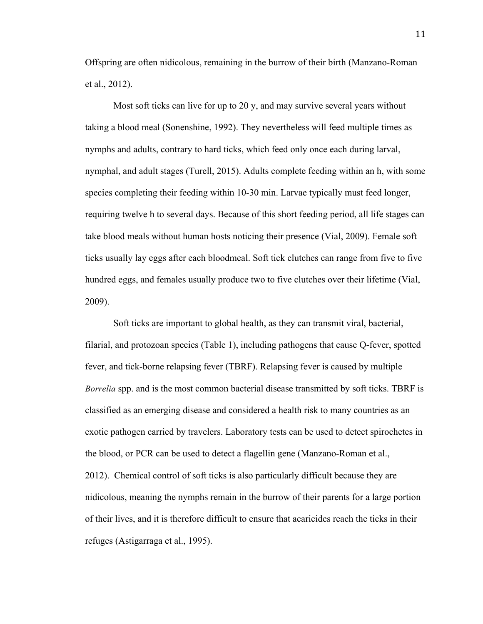Offspring are often nidicolous, remaining in the burrow of their birth (Manzano-Roman et al., 2012).

Most soft ticks can live for up to 20 y, and may survive several years without taking a blood meal (Sonenshine, 1992). They nevertheless will feed multiple times as nymphs and adults, contrary to hard ticks, which feed only once each during larval, nymphal, and adult stages (Turell, 2015). Adults complete feeding within an h, with some species completing their feeding within 10-30 min. Larvae typically must feed longer, requiring twelve h to several days. Because of this short feeding period, all life stages can take blood meals without human hosts noticing their presence (Vial, 2009). Female soft ticks usually lay eggs after each bloodmeal. Soft tick clutches can range from five to five hundred eggs, and females usually produce two to five clutches over their lifetime (Vial, 2009).

Soft ticks are important to global health, as they can transmit viral, bacterial, filarial, and protozoan species (Table 1), including pathogens that cause Q-fever, spotted fever, and tick-borne relapsing fever (TBRF). Relapsing fever is caused by multiple *Borrelia* spp. and is the most common bacterial disease transmitted by soft ticks. TBRF is classified as an emerging disease and considered a health risk to many countries as an exotic pathogen carried by travelers. Laboratory tests can be used to detect spirochetes in the blood, or PCR can be used to detect a flagellin gene (Manzano-Roman et al., 2012). Chemical control of soft ticks is also particularly difficult because they are nidicolous, meaning the nymphs remain in the burrow of their parents for a large portion of their lives, and it is therefore difficult to ensure that acaricides reach the ticks in their refuges (Astigarraga et al., 1995).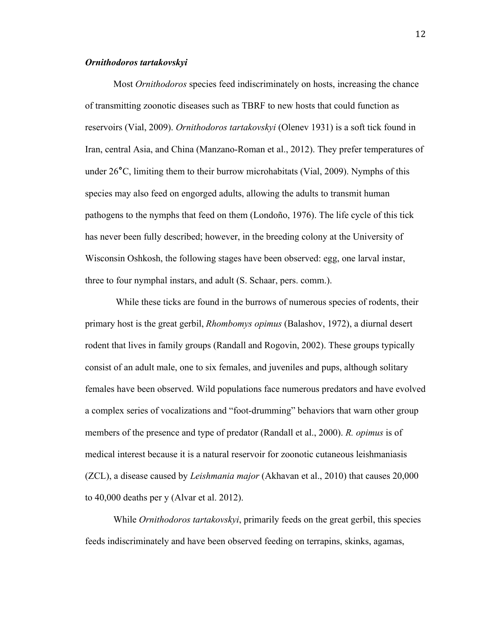# *Ornithodoros tartakovskyi*

Most *Ornithodoros* species feed indiscriminately on hosts, increasing the chance of transmitting zoonotic diseases such as TBRF to new hosts that could function as reservoirs (Vial, 2009). *Ornithodoros tartakovskyi* (Olenev 1931) is a soft tick found in Iran, central Asia, and China (Manzano-Roman et al., 2012). They prefer temperatures of under 26**°**C, limiting them to their burrow microhabitats (Vial, 2009). Nymphs of this species may also feed on engorged adults, allowing the adults to transmit human pathogens to the nymphs that feed on them (Londoño, 1976). The life cycle of this tick has never been fully described; however, in the breeding colony at the University of Wisconsin Oshkosh, the following stages have been observed: egg, one larval instar, three to four nymphal instars, and adult (S. Schaar, pers. comm.).

While these ticks are found in the burrows of numerous species of rodents, their primary host is the great gerbil, *Rhombomys opimus* (Balashov, 1972), a diurnal desert rodent that lives in family groups (Randall and Rogovin, 2002). These groups typically consist of an adult male, one to six females, and juveniles and pups, although solitary females have been observed. Wild populations face numerous predators and have evolved a complex series of vocalizations and "foot-drumming" behaviors that warn other group members of the presence and type of predator (Randall et al., 2000). *R. opimus* is of medical interest because it is a natural reservoir for zoonotic cutaneous leishmaniasis (ZCL), a disease caused by *Leishmania major* (Akhavan et al., 2010) that causes 20,000 to 40,000 deaths per y (Alvar et al. 2012).

While *Ornithodoros tartakovskyi*, primarily feeds on the great gerbil, this species feeds indiscriminately and have been observed feeding on terrapins, skinks, agamas,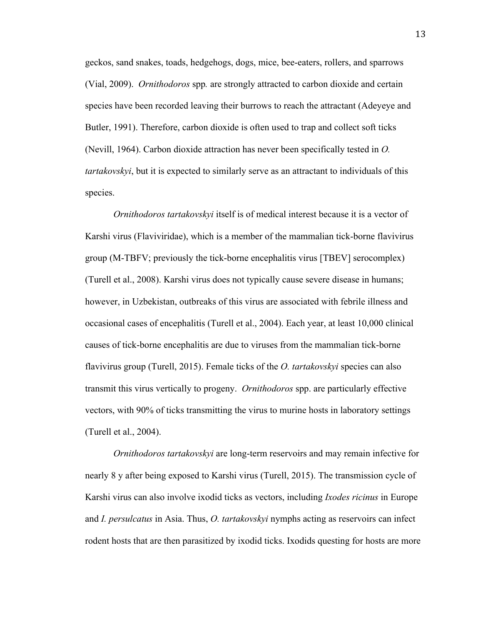geckos, sand snakes, toads, hedgehogs, dogs, mice, bee-eaters, rollers, and sparrows (Vial, 2009). *Ornithodoros* spp*.* are strongly attracted to carbon dioxide and certain species have been recorded leaving their burrows to reach the attractant (Adeyeye and Butler, 1991). Therefore, carbon dioxide is often used to trap and collect soft ticks (Nevill, 1964). Carbon dioxide attraction has never been specifically tested in *O. tartakovskyi*, but it is expected to similarly serve as an attractant to individuals of this species.

*Ornithodoros tartakovskyi* itself is of medical interest because it is a vector of Karshi virus (Flaviviridae), which is a member of the mammalian tick-borne flavivirus group (M-TBFV; previously the tick-borne encephalitis virus [TBEV] serocomplex) (Turell et al., 2008). Karshi virus does not typically cause severe disease in humans; however, in Uzbekistan, outbreaks of this virus are associated with febrile illness and occasional cases of encephalitis (Turell et al., 2004). Each year, at least 10,000 clinical causes of tick-borne encephalitis are due to viruses from the mammalian tick-borne flavivirus group (Turell, 2015). Female ticks of the *O. tartakovskyi* species can also transmit this virus vertically to progeny. *Ornithodoros* spp. are particularly effective vectors, with 90% of ticks transmitting the virus to murine hosts in laboratory settings (Turell et al., 2004).

*Ornithodoros tartakovskyi* are long-term reservoirs and may remain infective for nearly 8 y after being exposed to Karshi virus (Turell, 2015). The transmission cycle of Karshi virus can also involve ixodid ticks as vectors, including *Ixodes ricinus* in Europe and *I. persulcatus* in Asia. Thus, *O. tartakovskyi* nymphs acting as reservoirs can infect rodent hosts that are then parasitized by ixodid ticks. Ixodids questing for hosts are more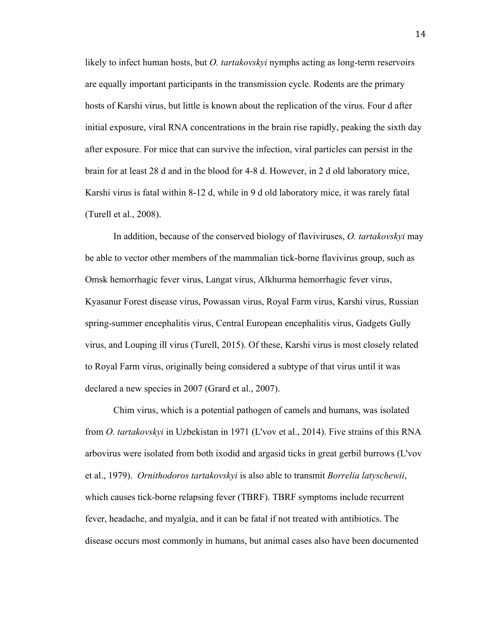likely to infect human hosts, but *O. tartakovskyi* nymphs acting as long-term reservoirs are equally important participants in the transmission cycle. Rodents are the primary hosts of Karshi virus, but little is known about the replication of the virus. Four d after initial exposure, viral RNA concentrations in the brain rise rapidly, peaking the sixth day after exposure. For mice that can survive the infection, viral particles can persist in the brain for at least 28 d and in the blood for 4-8 d. However, in 2 d old laboratory mice, Karshi virus is fatal within 8-12 d, while in 9 d old laboratory mice, it was rarely fatal (Turell et al., 2008).

In addition, because of the conserved biology of flaviviruses, *O. tartakovskyi* may be able to vector other members of the mammalian tick-borne flavivirus group, such as Omsk hemorrhagic fever virus, Langat virus, Alkhurma hemorrhagic fever virus, Kyasanur Forest disease virus, Powassan virus, Royal Farm virus, Karshi virus, Russian spring-summer encephalitis virus, Central European encephalitis virus, Gadgets Gully virus, and Louping ill virus (Turell, 2015). Of these, Karshi virus is most closely related to Royal Farm virus, originally being considered a subtype of that virus until it was declared a new species in 2007 (Grard et al., 2007).

Chim virus, which is a potential pathogen of camels and humans, was isolated from *O. tartakovskyi* in Uzbekistan in 1971 (L'vov et al., 2014). Five strains of this RNA arbovirus were isolated from both ixodid and argasid ticks in great gerbil burrows (L'vov et al., 1979). *Ornithodoros tartakovskyi* is also able to transmit *Borrelia latyschewii*, which causes tick-borne relapsing fever (TBRF). TBRF symptoms include recurrent fever, headache, and myalgia, and it can be fatal if not treated with antibiotics. The disease occurs most commonly in humans, but animal cases also have been documented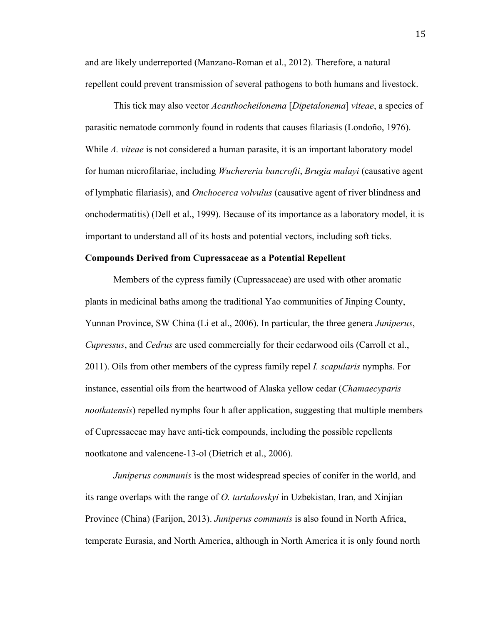and are likely underreported (Manzano-Roman et al., 2012). Therefore, a natural repellent could prevent transmission of several pathogens to both humans and livestock.

This tick may also vector *Acanthocheilonema* [*Dipetalonema*] *viteae*, a species of parasitic nematode commonly found in rodents that causes filariasis (Londoño, 1976). While *A. viteae* is not considered a human parasite, it is an important laboratory model for human microfilariae, including *Wuchereria bancrofti*, *Brugia malayi* (causative agent of lymphatic filariasis), and *Onchocerca volvulus* (causative agent of river blindness and onchodermatitis) (Dell et al., 1999). Because of its importance as a laboratory model, it is important to understand all of its hosts and potential vectors, including soft ticks.

## **Compounds Derived from Cupressaceae as a Potential Repellent**

Members of the cypress family (Cupressaceae) are used with other aromatic plants in medicinal baths among the traditional Yao communities of Jinping County, Yunnan Province, SW China (Li et al., 2006). In particular, the three genera *Juniperus*, *Cupressus*, and *Cedrus* are used commercially for their cedarwood oils (Carroll et al., 2011). Oils from other members of the cypress family repel *I. scapularis* nymphs. For instance, essential oils from the heartwood of Alaska yellow cedar (*Chamaecyparis nootkatensis*) repelled nymphs four h after application, suggesting that multiple members of Cupressaceae may have anti-tick compounds, including the possible repellents nootkatone and valencene-13-ol (Dietrich et al., 2006).

*Juniperus communis* is the most widespread species of conifer in the world, and its range overlaps with the range of *O. tartakovskyi* in Uzbekistan, Iran, and Xinjian Province (China) (Farijon, 2013). *Juniperus communis* is also found in North Africa, temperate Eurasia, and North America, although in North America it is only found north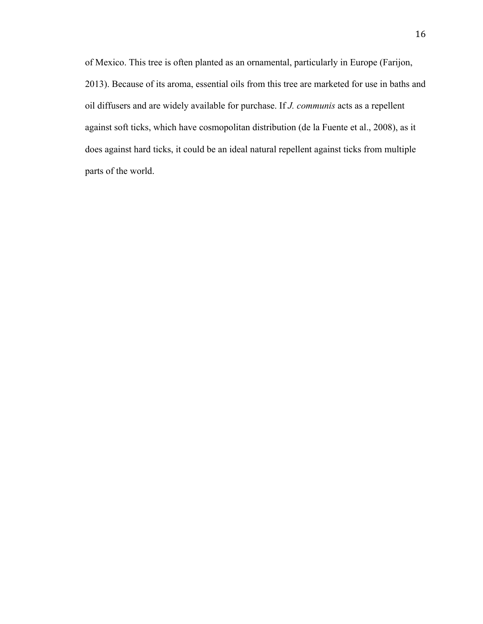of Mexico. This tree is often planted as an ornamental, particularly in Europe (Farijon, 2013). Because of its aroma, essential oils from this tree are marketed for use in baths and oil diffusers and are widely available for purchase. If *J. communis* acts as a repellent against soft ticks, which have cosmopolitan distribution (de la Fuente et al., 2008), as it does against hard ticks, it could be an ideal natural repellent against ticks from multiple parts of the world.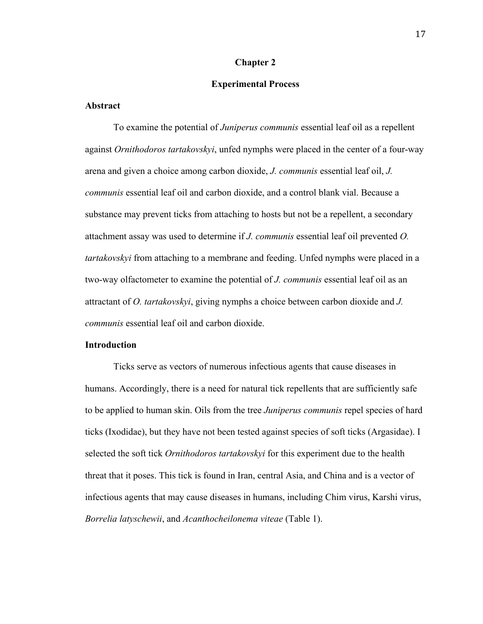#### **Chapter 2**

#### **Experimental Process**

## **Abstract**

To examine the potential of *Juniperus communis* essential leaf oil as a repellent against *Ornithodoros tartakovskyi*, unfed nymphs were placed in the center of a four-way arena and given a choice among carbon dioxide, *J. communis* essential leaf oil, *J. communis* essential leaf oil and carbon dioxide, and a control blank vial. Because a substance may prevent ticks from attaching to hosts but not be a repellent, a secondary attachment assay was used to determine if *J. communis* essential leaf oil prevented *O. tartakovskyi* from attaching to a membrane and feeding. Unfed nymphs were placed in a two-way olfactometer to examine the potential of *J. communis* essential leaf oil as an attractant of *O. tartakovskyi*, giving nymphs a choice between carbon dioxide and *J. communis* essential leaf oil and carbon dioxide.

## **Introduction**

Ticks serve as vectors of numerous infectious agents that cause diseases in humans. Accordingly, there is a need for natural tick repellents that are sufficiently safe to be applied to human skin. Oils from the tree *Juniperus communis* repel species of hard ticks (Ixodidae), but they have not been tested against species of soft ticks (Argasidae). I selected the soft tick *Ornithodoros tartakovskyi* for this experiment due to the health threat that it poses. This tick is found in Iran, central Asia, and China and is a vector of infectious agents that may cause diseases in humans, including Chim virus, Karshi virus, *Borrelia latyschewii*, and *Acanthocheilonema viteae* (Table 1).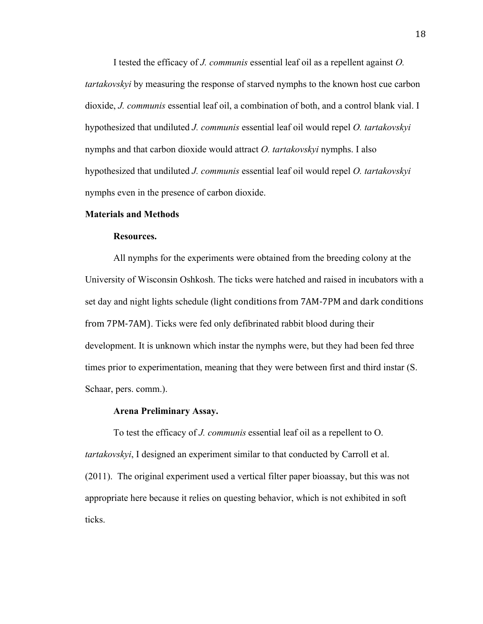I tested the efficacy of *J. communis* essential leaf oil as a repellent against *O. tartakovskyi* by measuring the response of starved nymphs to the known host cue carbon dioxide, *J. communis* essential leaf oil, a combination of both, and a control blank vial. I hypothesized that undiluted *J. communis* essential leaf oil would repel *O. tartakovskyi* nymphs and that carbon dioxide would attract *O. tartakovskyi* nymphs. I also hypothesized that undiluted *J. communis* essential leaf oil would repel *O. tartakovskyi* nymphs even in the presence of carbon dioxide.

#### **Materials and Methods**

#### **Resources.**

All nymphs for the experiments were obtained from the breeding colony at the University of Wisconsin Oshkosh. The ticks were hatched and raised in incubators with a set day and night lights schedule (light conditions from 7AM-7PM and dark conditions from 7PM-7AM). Ticks were fed only defibrinated rabbit blood during their development. It is unknown which instar the nymphs were, but they had been fed three times prior to experimentation, meaning that they were between first and third instar (S. Schaar, pers. comm.).

# **Arena Preliminary Assay.**

To test the efficacy of *J. communis* essential leaf oil as a repellent to O. *tartakovskyi*, I designed an experiment similar to that conducted by Carroll et al. (2011). The original experiment used a vertical filter paper bioassay, but this was not appropriate here because it relies on questing behavior, which is not exhibited in soft ticks.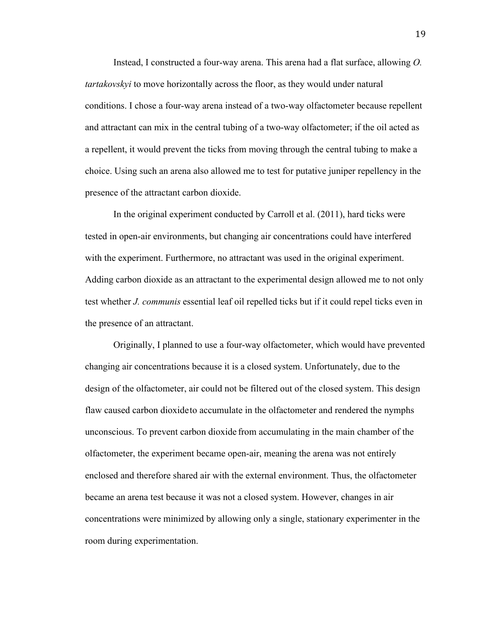Instead, I constructed a four-way arena. This arena had a flat surface, allowing *O. tartakovskyi* to move horizontally across the floor, as they would under natural conditions. I chose a four-way arena instead of a two-way olfactometer because repellent and attractant can mix in the central tubing of a two-way olfactometer; if the oil acted as a repellent, it would prevent the ticks from moving through the central tubing to make a choice. Using such an arena also allowed me to test for putative juniper repellency in the presence of the attractant carbon dioxide.

In the original experiment conducted by Carroll et al. (2011), hard ticks were tested in open-air environments, but changing air concentrations could have interfered with the experiment. Furthermore, no attractant was used in the original experiment. Adding carbon dioxide as an attractant to the experimental design allowed me to not only test whether *J. communis* essential leaf oil repelled ticks but if it could repel ticks even in the presence of an attractant.

Originally, I planned to use a four-way olfactometer, which would have prevented changing air concentrations because it is a closed system. Unfortunately, due to the design of the olfactometer, air could not be filtered out of the closed system. This design flaw caused carbon dioxideto accumulate in the olfactometer and rendered the nymphs unconscious. To prevent carbon dioxide from accumulating in the main chamber of the olfactometer, the experiment became open-air, meaning the arena was not entirely enclosed and therefore shared air with the external environment. Thus, the olfactometer became an arena test because it was not a closed system. However, changes in air concentrations were minimized by allowing only a single, stationary experimenter in the room during experimentation.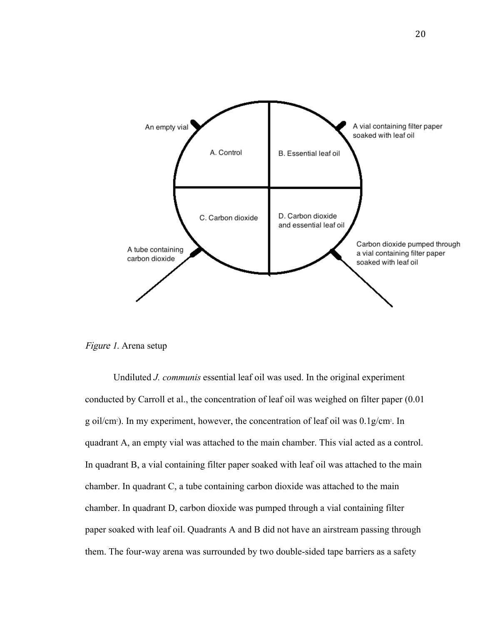

Figure 1. Arena setup

Undiluted *J. communis* essential leaf oil was used. In the original experiment conducted by Carroll et al., the concentration of leaf oil was weighed on filter paper (0.01 g oil/cm<sup>2</sup>). In my experiment, however, the concentration of leaf oil was 0.1g/cm<sup>2</sup>. In quadrant A, an empty vial was attached to the main chamber. This vial acted as a control. In quadrant B, a vial containing filter paper soaked with leaf oil was attached to the main chamber. In quadrant C, a tube containing carbon dioxide was attached to the main chamber. In quadrant D, carbon dioxide was pumped through a vial containing filter paper soaked with leaf oil. Quadrants A and B did not have an airstream passing through them. The four-way arena was surrounded by two double-sided tape barriers as a safety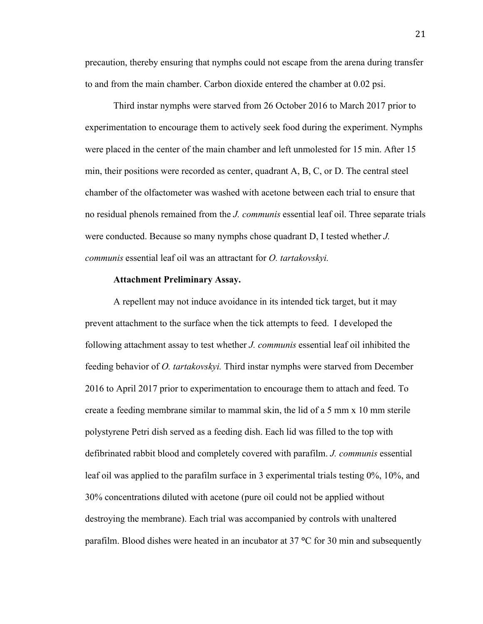precaution, thereby ensuring that nymphs could not escape from the arena during transfer to and from the main chamber. Carbon dioxide entered the chamber at 0.02 psi.

Third instar nymphs were starved from 26 October 2016 to March 2017 prior to experimentation to encourage them to actively seek food during the experiment. Nymphs were placed in the center of the main chamber and left unmolested for 15 min. After 15 min, their positions were recorded as center, quadrant A, B, C, or D. The central steel chamber of the olfactometer was washed with acetone between each trial to ensure that no residual phenols remained from the *J. communis* essential leaf oil. Three separate trials were conducted. Because so many nymphs chose quadrant D, I tested whether *J. communis* essential leaf oil was an attractant for *O. tartakovskyi.*

#### **Attachment Preliminary Assay.**

A repellent may not induce avoidance in its intended tick target, but it may prevent attachment to the surface when the tick attempts to feed. I developed the following attachment assay to test whether *J. communis* essential leaf oil inhibited the feeding behavior of *O. tartakovskyi.* Third instar nymphs were starved from December 2016 to April 2017 prior to experimentation to encourage them to attach and feed. To create a feeding membrane similar to mammal skin, the lid of a 5 mm x 10 mm sterile polystyrene Petri dish served as a feeding dish. Each lid was filled to the top with defibrinated rabbit blood and completely covered with parafilm. *J. communis* essential leaf oil was applied to the parafilm surface in 3 experimental trials testing 0%, 10%, and 30% concentrations diluted with acetone (pure oil could not be applied without destroying the membrane). Each trial was accompanied by controls with unaltered parafilm. Blood dishes were heated in an incubator at 37 **°**C for 30 min and subsequently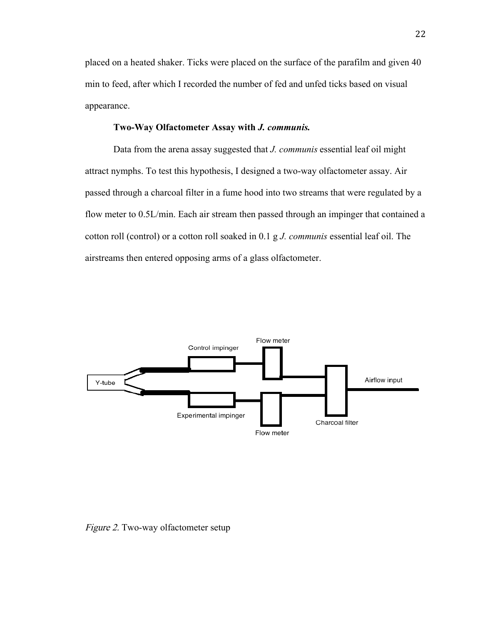placed on a heated shaker. Ticks were placed on the surface of the parafilm and given 40 min to feed, after which I recorded the number of fed and unfed ticks based on visual appearance.

#### **Two-Way Olfactometer Assay with** *J. communis.*

Data from the arena assay suggested that *J. communis* essential leaf oil might attract nymphs. To test this hypothesis, I designed a two-way olfactometer assay. Air passed through a charcoal filter in a fume hood into two streams that were regulated by a flow meter to 0.5L/min. Each air stream then passed through an impinger that contained a cotton roll (control) or a cotton roll soaked in 0.1 g *J. communis* essential leaf oil. The airstreams then entered opposing arms of a glass olfactometer.



Figure 2. Two-way olfactometer setup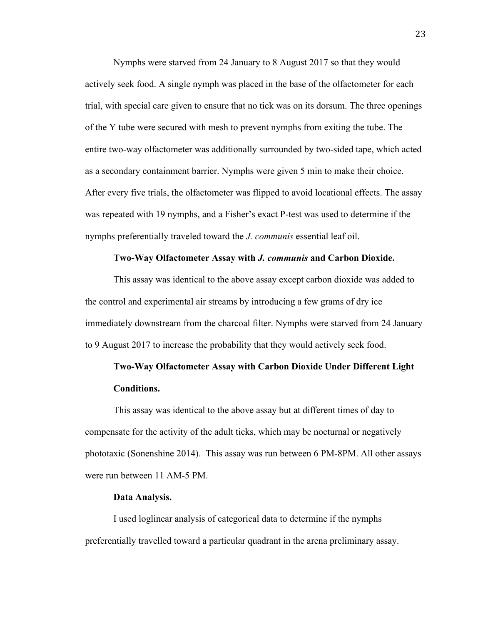Nymphs were starved from 24 January to 8 August 2017 so that they would actively seek food. A single nymph was placed in the base of the olfactometer for each trial, with special care given to ensure that no tick was on its dorsum. The three openings of the Y tube were secured with mesh to prevent nymphs from exiting the tube. The entire two-way olfactometer was additionally surrounded by two-sided tape, which acted as a secondary containment barrier. Nymphs were given 5 min to make their choice. After every five trials, the olfactometer was flipped to avoid locational effects. The assay was repeated with 19 nymphs, and a Fisher's exact P-test was used to determine if the nymphs preferentially traveled toward the *J. communis* essential leaf oil.

# **Two-Way Olfactometer Assay with** *J. communis* **and Carbon Dioxide.**

This assay was identical to the above assay except carbon dioxide was added to the control and experimental air streams by introducing a few grams of dry ice immediately downstream from the charcoal filter. Nymphs were starved from 24 January to 9 August 2017 to increase the probability that they would actively seek food.

# **Two-Way Olfactometer Assay with Carbon Dioxide Under Different Light Conditions.**

This assay was identical to the above assay but at different times of day to compensate for the activity of the adult ticks, which may be nocturnal or negatively phototaxic (Sonenshine 2014). This assay was run between 6 PM-8PM. All other assays were run between 11 AM-5 PM.

#### **Data Analysis.**

I used loglinear analysis of categorical data to determine if the nymphs preferentially travelled toward a particular quadrant in the arena preliminary assay.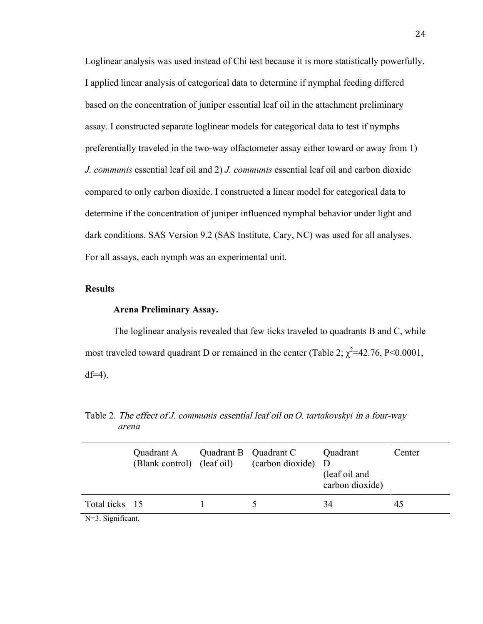Loglinear analysis was used instead of Chi test because it is more statistically powerfully. I applied linear analysis of categorical data to determine if nymphal feeding differed based on the concentration of juniper essential leaf oil in the attachment preliminary assay. I constructed separate loglinear models for categorical data to test if nymphs preferentially traveled in the two-way olfactometer assay either toward or away from 1) *J. communis* essential leaf oil and 2) *J. communis* essential leaf oil and carbon dioxide compared to only carbon dioxide. I constructed a linear model for categorical data to determine if the concentration of juniper influenced nymphal behavior under light and dark conditions. SAS Version 9.2 (SAS Institute, Cary, NC) was used for all analyses. For all assays, each nymph was an experimental unit.

#### **Results**

# **Arena Preliminary Assay.**

The loglinear analysis revealed that few ticks traveled to quadrants B and C, while most traveled toward quadrant D or remained in the center (Table 2;  $\chi^2$ =42.76, P<0.0001,  $df=4$ ).

|                | Quadrant A<br>(Blank control) (leaf oil) | Quadrant B Quadrant C<br>(carbon dioxide) D | Quadrant<br>(leaf oil and<br>carbon dioxide) | Center |
|----------------|------------------------------------------|---------------------------------------------|----------------------------------------------|--------|
| Total ticks 15 |                                          |                                             | 34                                           | 45     |

Table 2. The effect of *J. communis* essential leaf oil on *O. tartakovskyi* in a four-way  *arena*

N=3. Significant.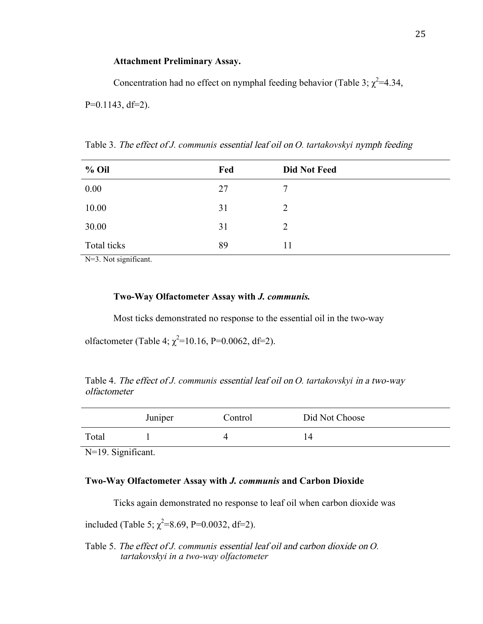# **Attachment Preliminary Assay.**

Concentration had no effect on nymphal feeding behavior (Table 3;  $\chi^2$ =4.34,  $P=0.1143$ , df=2).

| $%$ Oil     | Fed | <b>Did Not Feed</b> |
|-------------|-----|---------------------|
| 0.00        | 27  | 7                   |
| 10.00       | 31  | 2                   |
| 30.00       | 31  | 2                   |
| Total ticks | 89  | 11                  |

Table 3. The effect of *J. communis* essential leaf oil on *O. tartakovskyi* nymph feeding

N=3. Not significant.

# **Two-Way Olfactometer Assay with** *J. communis.*

Most ticks demonstrated no response to the essential oil in the two-way

olfactometer (Table 4;  $\chi^2$ =10.16, P=0.0062, df=2).

Table 4. The effect of *J. communis* essential leaf oil on *O. tartakovskyi* in a two-way olfactometer

|       | Juniper | Control | Did Not Choose |
|-------|---------|---------|----------------|
| Total |         |         | 14             |

N=19. Significant.

# **Two-Way Olfactometer Assay with** *J. communis* **and Carbon Dioxide**

Ticks again demonstrated no response to leaf oil when carbon dioxide was

included (Table 5;  $\chi^2$ =8.69, P=0.0032, df=2).

Table 5. The effect of *J. communis* essential leaf oil and carbon dioxide on *O. tartakovskyi in a two-way olfactometer*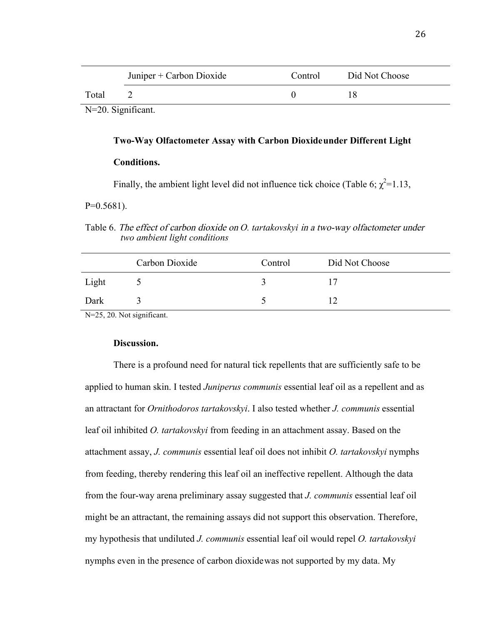|                    | Juniper + Carbon Dioxide | Control | Did Not Choose |
|--------------------|--------------------------|---------|----------------|
| Total              |                          |         |                |
| N=20. Significant. |                          |         |                |

#### **Two-Way Olfactometer Assay with Carbon Dioxideunder Different Light**

# **Conditions.**

Finally, the ambient light level did not influence tick choice (Table 6;  $\chi^2$ =1.13,

 $P=0.5681$ ).

Table 6. The effect of carbon dioxide on *O. tartakovskyi* in a two-way olfactometer under  *two ambient light conditions* 

|       | Carbon Dioxide | Control | Did Not Choose |
|-------|----------------|---------|----------------|
| Light |                |         |                |
| Dark  |                |         |                |

N=25, 20. Not significant.

### **Discussion.**

There is a profound need for natural tick repellents that are sufficiently safe to be applied to human skin. I tested *Juniperus communis* essential leaf oil as a repellent and as an attractant for *Ornithodoros tartakovskyi*. I also tested whether *J. communis* essential leaf oil inhibited *O. tartakovskyi* from feeding in an attachment assay. Based on the attachment assay, *J. communis* essential leaf oil does not inhibit *O. tartakovskyi* nymphs from feeding, thereby rendering this leaf oil an ineffective repellent. Although the data from the four-way arena preliminary assay suggested that *J. communis* essential leaf oil might be an attractant, the remaining assays did not support this observation. Therefore, my hypothesis that undiluted *J. communis* essential leaf oil would repel *O. tartakovskyi* nymphs even in the presence of carbon dioxidewas not supported by my data. My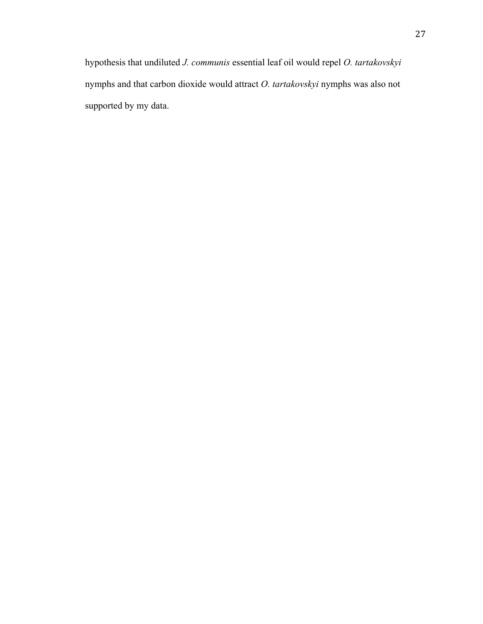hypothesis that undiluted *J. communis* essential leaf oil would repel *O. tartakovskyi* nymphs and that carbon dioxide would attract *O. tartakovskyi* nymphs was also not supported by my data.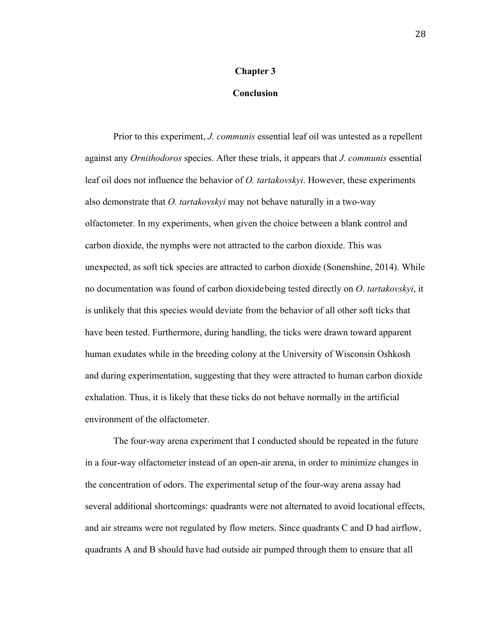# **Chapter 3**

# **Conclusion**

Prior to this experiment, *J. communis* essential leaf oil was untested as a repellent against any *Ornithodoros* species. After these trials, it appears that *J. communis* essential leaf oil does not influence the behavior of *O. tartakovskyi*. However, these experiments also demonstrate that *O. tartakovskyi* may not behave naturally in a two-way olfactometer. In my experiments, when given the choice between a blank control and carbon dioxide, the nymphs were not attracted to the carbon dioxide. This was unexpected, as soft tick species are attracted to carbon dioxide (Sonenshine, 2014). While no documentation was found of carbon dioxidebeing tested directly on *O*. *tartakovskyi*, it is unlikely that this species would deviate from the behavior of all other soft ticks that have been tested. Furthermore, during handling, the ticks were drawn toward apparent human exudates while in the breeding colony at the University of Wisconsin Oshkosh and during experimentation, suggesting that they were attracted to human carbon dioxide exhalation. Thus, it is likely that these ticks do not behave normally in the artificial environment of the olfactometer.

The four-way arena experiment that I conducted should be repeated in the future in a four-way olfactometer instead of an open-air arena, in order to minimize changes in the concentration of odors. The experimental setup of the four-way arena assay had several additional shortcomings: quadrants were not alternated to avoid locational effects, and air streams were not regulated by flow meters. Since quadrants C and D had airflow, quadrants A and B should have had outside air pumped through them to ensure that all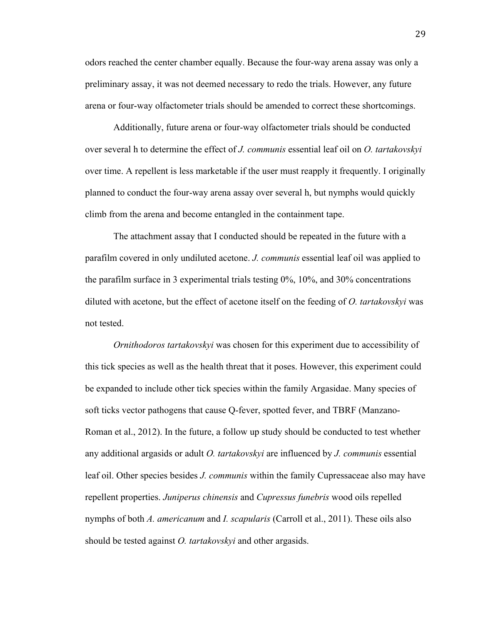odors reached the center chamber equally. Because the four-way arena assay was only a preliminary assay, it was not deemed necessary to redo the trials. However, any future arena or four-way olfactometer trials should be amended to correct these shortcomings.

Additionally, future arena or four-way olfactometer trials should be conducted over several h to determine the effect of *J. communis* essential leaf oil on *O. tartakovskyi* over time. A repellent is less marketable if the user must reapply it frequently. I originally planned to conduct the four-way arena assay over several h, but nymphs would quickly climb from the arena and become entangled in the containment tape.

The attachment assay that I conducted should be repeated in the future with a parafilm covered in only undiluted acetone. *J. communis* essential leaf oil was applied to the parafilm surface in 3 experimental trials testing 0%, 10%, and 30% concentrations diluted with acetone, but the effect of acetone itself on the feeding of *O. tartakovskyi* was not tested.

*Ornithodoros tartakovskyi* was chosen for this experiment due to accessibility of this tick species as well as the health threat that it poses. However, this experiment could be expanded to include other tick species within the family Argasidae. Many species of soft ticks vector pathogens that cause Q-fever, spotted fever, and TBRF (Manzano-Roman et al., 2012). In the future, a follow up study should be conducted to test whether any additional argasids or adult *O. tartakovskyi* are influenced by *J. communis* essential leaf oil. Other species besides *J. communis* within the family Cupressaceae also may have repellent properties. *Juniperus chinensis* and *Cupressus funebris* wood oils repelled nymphs of both *A. americanum* and *I. scapularis* (Carroll et al., 2011). These oils also should be tested against *O. tartakovskyi* and other argasids.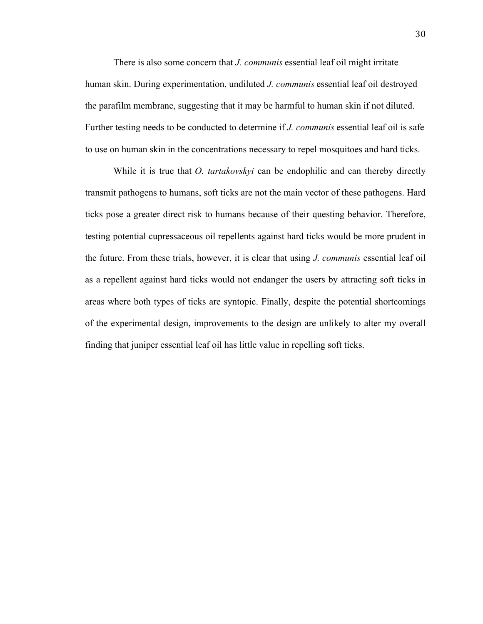There is also some concern that *J. communis* essential leaf oil might irritate human skin. During experimentation, undiluted *J. communis* essential leaf oil destroyed the parafilm membrane, suggesting that it may be harmful to human skin if not diluted. Further testing needs to be conducted to determine if *J. communis* essential leaf oil is safe to use on human skin in the concentrations necessary to repel mosquitoes and hard ticks.

While it is true that *O. tartakovskyi* can be endophilic and can thereby directly transmit pathogens to humans, soft ticks are not the main vector of these pathogens. Hard ticks pose a greater direct risk to humans because of their questing behavior. Therefore, testing potential cupressaceous oil repellents against hard ticks would be more prudent in the future. From these trials, however, it is clear that using *J. communis* essential leaf oil as a repellent against hard ticks would not endanger the users by attracting soft ticks in areas where both types of ticks are syntopic. Finally, despite the potential shortcomings of the experimental design, improvements to the design are unlikely to alter my overall finding that juniper essential leaf oil has little value in repelling soft ticks.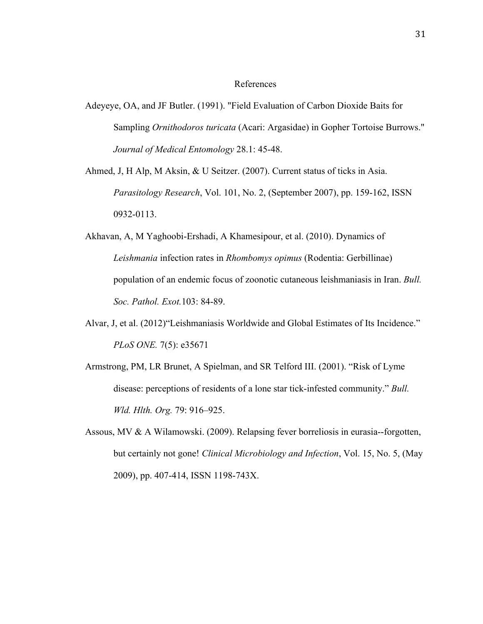#### References

- Adeyeye, OA, and JF Butler. (1991). "Field Evaluation of Carbon Dioxide Baits for Sampling *Ornithodoros turicata* (Acari: Argasidae) in Gopher Tortoise Burrows." *Journal of Medical Entomology* 28.1: 45-48.
- Ahmed, J, H Alp, M Aksin, & U Seitzer. (2007). Current status of ticks in Asia. *Parasitology Research*, Vol. 101, No. 2, (September 2007), pp. 159-162, ISSN 0932-0113.
- Akhavan, A, M Yaghoobi-Ershadi, A Khamesipour, et al. (2010). Dynamics of *Leishmania* infection rates in *Rhombomys opimus* (Rodentia: Gerbillinae) population of an endemic focus of zoonotic cutaneous leishmaniasis in Iran. *Bull. Soc. Pathol. Exot.*103: 84-89.
- Alvar, J, et al. (2012)"Leishmaniasis Worldwide and Global Estimates of Its Incidence." *PLoS ONE.* 7(5): e35671
- Armstrong, PM, LR Brunet, A Spielman, and SR Telford III. (2001). "Risk of Lyme disease: perceptions of residents of a lone star tick-infested community." *Bull. Wld. Hlth. Org.* 79: 916–925.
- Assous, MV & A Wilamowski. (2009). Relapsing fever borreliosis in eurasia--forgotten, but certainly not gone! *Clinical Microbiology and Infection*, Vol. 15, No. 5, (May 2009), pp. 407-414, ISSN 1198-743X.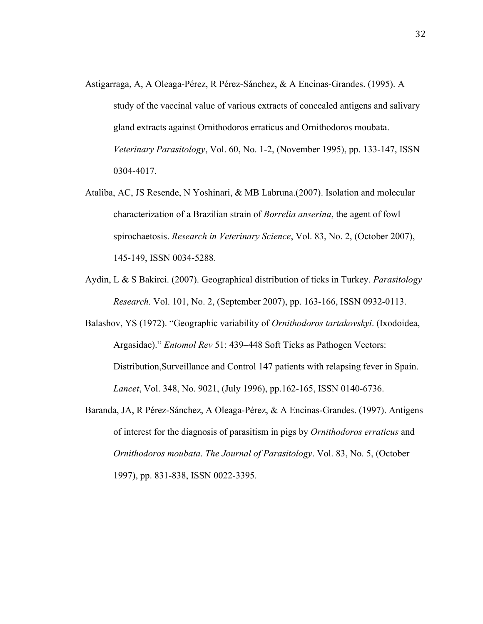- Astigarraga, A, A Oleaga-Pérez, R Pérez-Sánchez, & A Encinas-Grandes. (1995). A study of the vaccinal value of various extracts of concealed antigens and salivary gland extracts against Ornithodoros erraticus and Ornithodoros moubata. *Veterinary Parasitology*, Vol. 60, No. 1-2, (November 1995), pp. 133-147, ISSN 0304-4017.
- Ataliba, AC, JS Resende, N Yoshinari, & MB Labruna.(2007). Isolation and molecular characterization of a Brazilian strain of *Borrelia anserina*, the agent of fowl spirochaetosis. *Research in Veterinary Science*, Vol. 83, No. 2, (October 2007), 145-149, ISSN 0034-5288.
- Aydin, L & S Bakirci. (2007). Geographical distribution of ticks in Turkey. *Parasitology Research.* Vol. 101, No. 2, (September 2007), pp. 163-166, ISSN 0932-0113.
- Balashov, YS (1972). "Geographic variability of *Ornithodoros tartakovskyi*. (Ixodoidea, Argasidae)." *Entomol Rev* 51: 439–448 Soft Ticks as Pathogen Vectors: Distribution,Surveillance and Control 147 patients with relapsing fever in Spain. *Lancet*, Vol. 348, No. 9021, (July 1996), pp.162-165, ISSN 0140-6736.
- Baranda, JA, R Pérez-Sánchez, A Oleaga-Pérez, & A Encinas-Grandes. (1997). Antigens of interest for the diagnosis of parasitism in pigs by *Ornithodoros erraticus* and *Ornithodoros moubata*. *The Journal of Parasitology*. Vol. 83, No. 5, (October 1997), pp. 831-838, ISSN 0022-3395.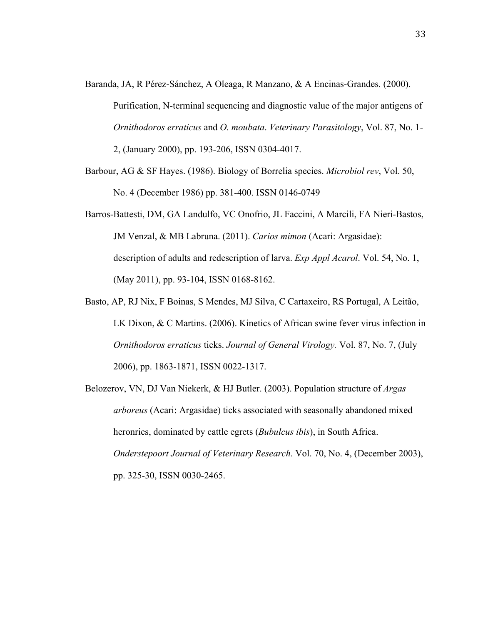- Baranda, JA, R Pérez-Sánchez, A Oleaga, R Manzano, & A Encinas-Grandes. (2000). Purification, N-terminal sequencing and diagnostic value of the major antigens of *Ornithodoros erraticus* and *O. moubata*. *Veterinary Parasitology*, Vol. 87, No. 1- 2, (January 2000), pp. 193-206, ISSN 0304-4017.
- Barbour, AG & SF Hayes. (1986). Biology of Borrelia species. *Microbiol rev*, Vol. 50, No. 4 (December 1986) pp. 381-400. ISSN 0146-0749
- Barros-Battesti, DM, GA Landulfo, VC Onofrio, JL Faccini, A Marcili, FA Nieri-Bastos, JM Venzal, & MB Labruna. (2011). *Carios mimon* (Acari: Argasidae): description of adults and redescription of larva. *Exp Appl Acarol*. Vol. 54, No. 1, (May 2011), pp. 93-104, ISSN 0168-8162.
- Basto, AP, RJ Nix, F Boinas, S Mendes, MJ Silva, C Cartaxeiro, RS Portugal, A Leitão, LK Dixon, & C Martins. (2006). Kinetics of African swine fever virus infection in *Ornithodoros erraticus* ticks. *Journal of General Virology.* Vol. 87, No. 7, (July 2006), pp. 1863-1871, ISSN 0022-1317.
- Belozerov, VN, DJ Van Niekerk, & HJ Butler. (2003). Population structure of *Argas arboreus* (Acari: Argasidae) ticks associated with seasonally abandoned mixed heronries, dominated by cattle egrets (*Bubulcus ibis*), in South Africa. *Onderstepoort Journal of Veterinary Research*. Vol. 70, No. 4, (December 2003), pp. 325-30, ISSN 0030-2465.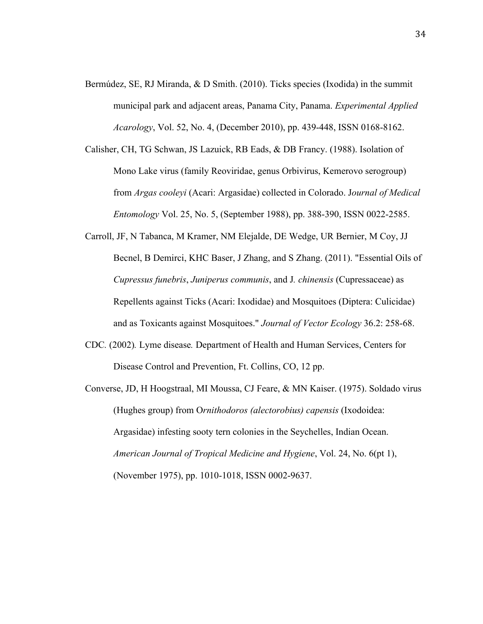- Bermúdez, SE, RJ Miranda, & D Smith. (2010). Ticks species (Ixodida) in the summit municipal park and adjacent areas, Panama City, Panama. *Experimental Applied Acarology*, Vol. 52, No. 4, (December 2010), pp. 439-448, ISSN 0168-8162.
- Calisher, CH, TG Schwan, JS Lazuick, RB Eads, & DB Francy. (1988). Isolation of Mono Lake virus (family Reoviridae, genus Orbivirus, Kemerovo serogroup) from *Argas cooleyi* (Acari: Argasidae) collected in Colorado. J*ournal of Medical Entomology* Vol. 25, No. 5, (September 1988), pp. 388-390, ISSN 0022-2585.
- Carroll, JF, N Tabanca, M Kramer, NM Elejalde, DE Wedge, UR Bernier, M Coy, JJ Becnel, B Demirci, KHC Baser, J Zhang, and S Zhang. (2011). "Essential Oils of *Cupressus funebris*, *Juniperus communis*, and J*. chinensis* (Cupressaceae) as Repellents against Ticks (Acari: Ixodidae) and Mosquitoes (Diptera: Culicidae) and as Toxicants against Mosquitoes." *Journal of Vector Ecology* 36.2: 258-68.
- CDC*.* (2002)*.* Lyme disease*.* Department of Health and Human Services, Centers for Disease Control and Prevention, Ft. Collins, CO, 12 pp.
- Converse, JD, H Hoogstraal, MI Moussa, CJ Feare, & MN Kaiser. (1975). Soldado virus (Hughes group) from O*rnithodoros (alectorobius) capensis* (Ixodoidea: Argasidae) infesting sooty tern colonies in the Seychelles, Indian Ocean. *American Journal of Tropical Medicine and Hygiene*, Vol. 24, No. 6(pt 1), (November 1975), pp. 1010-1018, ISSN 0002-9637.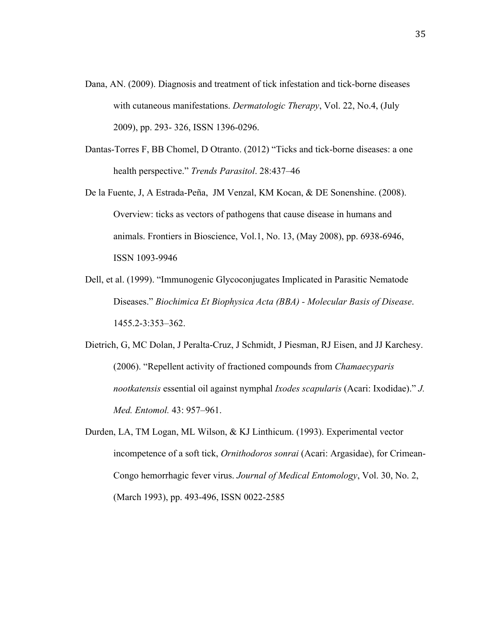- Dana, AN. (2009). Diagnosis and treatment of tick infestation and tick-borne diseases with cutaneous manifestations. *Dermatologic Therapy*, Vol. 22, No.4, (July 2009), pp. 293- 326, ISSN 1396-0296.
- Dantas-Torres F, BB Chomel, D Otranto. (2012) "Ticks and tick-borne diseases: a one health perspective." *Trends Parasitol*. 28:437–46
- De la Fuente, J, A Estrada-Peña, JM Venzal, KM Kocan, & DE Sonenshine. (2008). Overview: ticks as vectors of pathogens that cause disease in humans and animals. Frontiers in Bioscience, Vol.1, No. 13, (May 2008), pp. 6938-6946, ISSN 1093-9946
- Dell, et al. (1999). "Immunogenic Glycoconjugates Implicated in Parasitic Nematode Diseases." *Biochimica Et Biophysica Acta (BBA) - Molecular Basis of Disease*. 1455.2-3:353–362.
- Dietrich, G, MC Dolan, J Peralta-Cruz, J Schmidt, J Piesman, RJ Eisen, and JJ Karchesy. (2006). "Repellent activity of fractioned compounds from *Chamaecyparis nootkatensis* essential oil against nymphal *Ixodes scapularis* (Acari: Ixodidae)." *J. Med. Entomol.* 43: 957–961.
- Durden, LA, TM Logan, ML Wilson, & KJ Linthicum. (1993). Experimental vector incompetence of a soft tick, *Ornithodoros sonrai* (Acari: Argasidae), for Crimean-Congo hemorrhagic fever virus. *Journal of Medical Entomology*, Vol. 30, No. 2, (March 1993), pp. 493-496, ISSN 0022-2585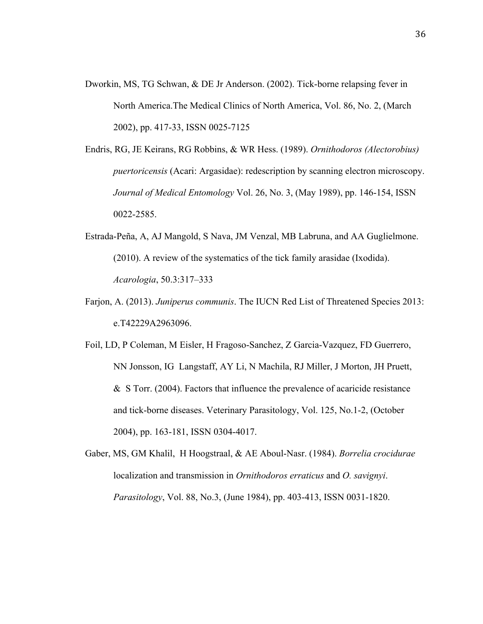- Dworkin, MS, TG Schwan, & DE Jr Anderson. (2002). Tick-borne relapsing fever in North America.The Medical Clinics of North America, Vol. 86, No. 2, (March 2002), pp. 417-33, ISSN 0025-7125
- Endris, RG, JE Keirans, RG Robbins, & WR Hess. (1989). *Ornithodoros (Alectorobius) puertoricensis* (Acari: Argasidae): redescription by scanning electron microscopy. *Journal of Medical Entomology* Vol. 26, No. 3, (May 1989), pp. 146-154, ISSN 0022-2585.
- Estrada-Peña, A, AJ Mangold, S Nava, JM Venzal, MB Labruna, and AA Guglielmone. (2010). A review of the systematics of the tick family arasidae (Ixodida). *Acarologia*, 50.3:317–333
- Farjon, A. (2013). *Juniperus communis*. The IUCN Red List of Threatened Species 2013: e.T42229A2963096.
- Foil, LD, P Coleman, M Eisler, H Fragoso-Sanchez, Z Garcia-Vazquez, FD Guerrero, NN Jonsson, IG Langstaff, AY Li, N Machila, RJ Miller, J Morton, JH Pruett, & S Torr. (2004). Factors that influence the prevalence of acaricide resistance and tick-borne diseases. Veterinary Parasitology, Vol. 125, No.1-2, (October 2004), pp. 163-181, ISSN 0304-4017.
- Gaber, MS, GM Khalil, H Hoogstraal, & AE Aboul-Nasr. (1984). *Borrelia crocidurae*  localization and transmission in *Ornithodoros erraticus* and *O. savignyi*. *Parasitology*, Vol. 88, No.3, (June 1984), pp. 403-413, ISSN 0031-1820.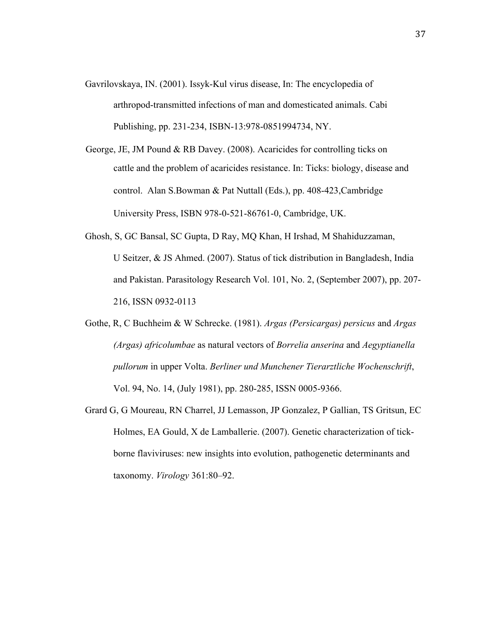- Gavrilovskaya, IN. (2001). Issyk-Kul virus disease, In: The encyclopedia of arthropod-transmitted infections of man and domesticated animals. Cabi Publishing, pp. 231-234, ISBN-13:978-0851994734, NY.
- cattle and the problem of acaricides resistance. In: Ticks: biology, disease and control. Alan S.Bowman & Pat Nuttall (Eds.), pp. 408-423,Cambridge University Press, ISBN 978-0-521-86761-0, Cambridge, UK. George, JE, JM Pound & RB Davey. (2008). Acaricides for controlling ticks on
- Ghosh, S, GC Bansal, SC Gupta, D Ray, MQ Khan, H Irshad, M Shahiduzzaman, U Seitzer, & JS Ahmed. (2007). Status of tick distribution in Bangladesh, India and Pakistan. Parasitology Research Vol. 101, No. 2, (September 2007), pp. 207- 216, ISSN 0932-0113
- Gothe, R, C Buchheim & W Schrecke. (1981). *Argas (Persicargas) persicus* and *Argas (Argas) africolumbae* as natural vectors of *Borrelia anserina* and *Aegyptianella pullorum* in upper Volta. *Berliner und Munchener Tierarztliche Wochenschrift*, Vol. 94, No. 14, (July 1981), pp. 280-285, ISSN 0005-9366.
- Grard G, G Moureau, RN Charrel, JJ Lemasson, JP Gonzalez, P Gallian, TS Gritsun, EC Holmes, EA Gould, X de Lamballerie. (2007). Genetic characterization of tickborne flaviviruses: new insights into evolution, pathogenetic determinants and taxonomy. *Virology* 361:80–92.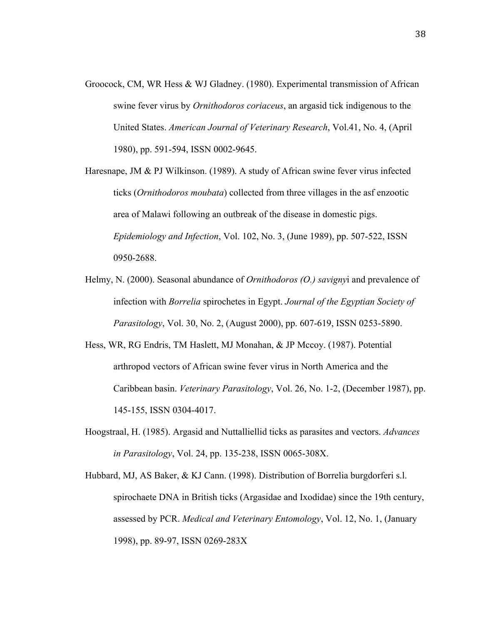- Groocock, CM, WR Hess & WJ Gladney. (1980). Experimental transmission of African swine fever virus by *Ornithodoros coriaceus*, an argasid tick indigenous to the United States. *American Journal of Veterinary Research*, Vol.41, No. 4, (April 1980), pp. 591-594, ISSN 0002-9645.
- Haresnape, JM  $\&$  PJ Wilkinson. (1989). A study of African swine fever virus infected ticks (*Ornithodoros moubata*) collected from three villages in the asf enzootic area of Malawi following an outbreak of the disease in domestic pigs. *Epidemiology and Infection*, Vol. 102, No. 3, (June 1989), pp. 507-522, ISSN 0950-2688.
- Helmy, N. (2000). Seasonal abundance of *Ornithodoros (O.) savigny*i and prevalence of infection with *Borrelia* spirochetes in Egypt. *Journal of the Egyptian Society of Parasitology*, Vol. 30, No. 2, (August 2000), pp. 607-619, ISSN 0253-5890.
- Hess, WR, RG Endris, TM Haslett, MJ Monahan, & JP Mccoy. (1987). Potential arthropod vectors of African swine fever virus in North America and the Caribbean basin. *Veterinary Parasitology*, Vol. 26, No. 1-2, (December 1987), pp. 145-155, ISSN 0304-4017.
- Hoogstraal, H. (1985). Argasid and Nuttalliellid ticks as parasites and vectors. *Advances in Parasitology*, Vol. 24, pp. 135-238, ISSN 0065-308X.
- Hubbard, MJ, AS Baker, & KJ Cann. (1998). Distribution of Borrelia burgdorferi s.l. spirochaete DNA in British ticks (Argasidae and Ixodidae) since the 19th century, assessed by PCR. *Medical and Veterinary Entomology*, Vol. 12, No. 1, (January 1998), pp. 89-97, ISSN 0269-283X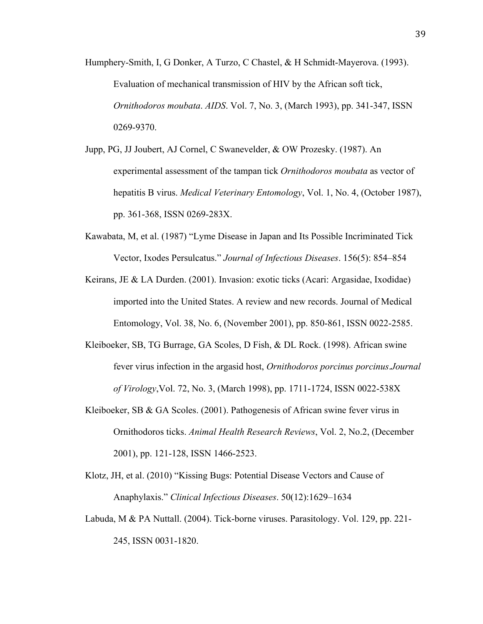Humphery-Smith, I, G Donker, A Turzo, C Chastel, & H Schmidt-Mayerova. (1993). Evaluation of mechanical transmission of HIV by the African soft tick, *Ornithodoros moubata*. *AIDS*. Vol. 7, No. 3, (March 1993), pp. 341-347, ISSN 0269-9370.

- Jupp, PG, JJ Joubert, AJ Cornel, C Swanevelder, & OW Prozesky. (1987). An experimental assessment of the tampan tick *Ornithodoros moubata* as vector of hepatitis B virus. *Medical Veterinary Entomology*, Vol. 1, No. 4, (October 1987), pp. 361-368, ISSN 0269-283X.
- Kawabata, M, et al. (1987) "Lyme Disease in Japan and Its Possible Incriminated Tick Vector, Ixodes Persulcatus." *Journal of Infectious Diseases*. 156(5): 854–854
- Keirans, JE & LA Durden. (2001). Invasion: exotic ticks (Acari: Argasidae, Ixodidae) imported into the United States. A review and new records. Journal of Medical Entomology, Vol. 38, No. 6, (November 2001), pp. 850-861, ISSN 0022-2585.
- Kleiboeker, SB, TG Burrage, GA Scoles, D Fish, & DL Rock. (1998). African swine fever virus infection in the argasid host, *Ornithodoros porcinus porcinus*.*Journal of Virology*,Vol. 72, No. 3, (March 1998), pp. 1711-1724, ISSN 0022-538X
- Kleiboeker, SB & GA Scoles. (2001). Pathogenesis of African swine fever virus in Ornithodoros ticks. *Animal Health Research Reviews*, Vol. 2, No.2, (December 2001), pp. 121-128, ISSN 1466-2523.
- Klotz, JH, et al. (2010) "Kissing Bugs: Potential Disease Vectors and Cause of Anaphylaxis." *Clinical Infectious Diseases*. 50(12):1629–1634
- Labuda, M & PA Nuttall. (2004). Tick-borne viruses. Parasitology. Vol. 129, pp. 221- 245, ISSN 0031-1820.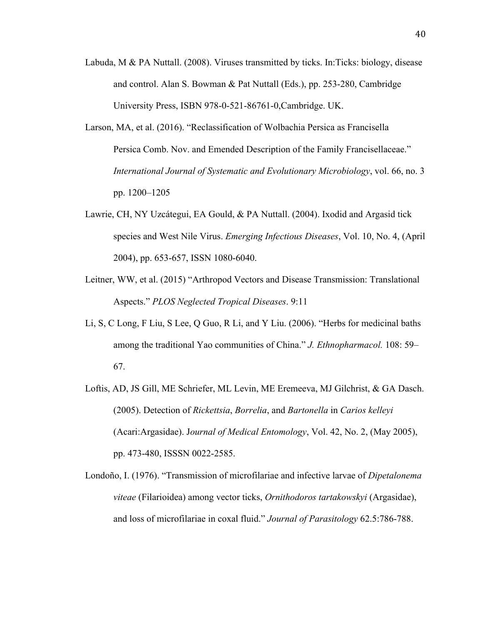- Labuda, M & PA Nuttall. (2008). Viruses transmitted by ticks. In:Ticks: biology, disease and control. Alan S. Bowman & Pat Nuttall (Eds.), pp. 253-280, Cambridge University Press, ISBN 978-0-521-86761-0,Cambridge. UK.
- Larson, MA, et al. (2016). "Reclassification of Wolbachia Persica as Francisella Persica Comb. Nov. and Emended Description of the Family Francisellaceae." *International Journal of Systematic and Evolutionary Microbiology*, vol. 66, no. 3 pp. 1200–1205
- Lawrie, CH, NY Uzcátegui, EA Gould, & PA Nuttall. (2004). Ixodid and Argasid tick species and West Nile Virus. *Emerging Infectious Diseases*, Vol. 10, No. 4, (April 2004), pp. 653-657, ISSN 1080-6040.
- Leitner, WW, et al. (2015) "Arthropod Vectors and Disease Transmission: Translational Aspects." *PLOS Neglected Tropical Diseases*. 9:11
- Li, S, C Long, F Liu, S Lee, Q Guo, R Li, and Y Liu. (2006). "Herbs for medicinal baths among the traditional Yao communities of China." *J. Ethnopharmacol.* 108: 59– 67.
- Loftis, AD, JS Gill, ME Schriefer, ML Levin, ME Eremeeva, MJ Gilchrist, & GA Dasch. (2005). Detection of *Rickettsia*, *Borrelia*, and *Bartonella* in *Carios kelleyi* (Acari:Argasidae). J*ournal of Medical Entomology*, Vol. 42, No. 2, (May 2005), pp. 473-480, ISSSN 0022-2585.
- Londoño, I. (1976). "Transmission of microfilariae and infective larvae of *Dipetalonema viteae* (Filarioidea) among vector ticks, *Ornithodoros tartakowskyi* (Argasidae), and loss of microfilariae in coxal fluid." *Journal of Parasitology* 62.5:786-788.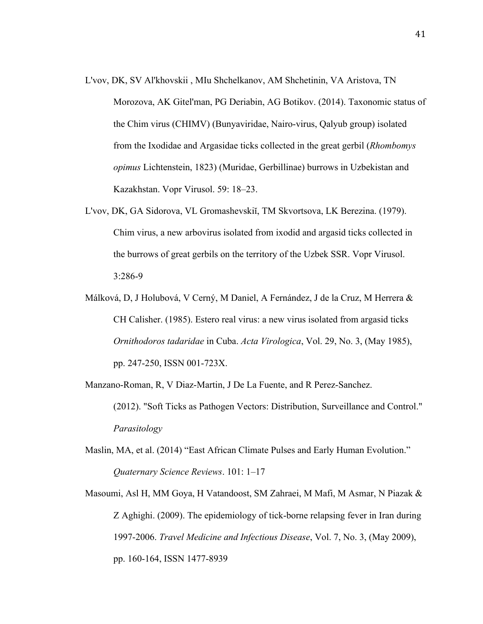- L'vov, DK, SV Al'khovskii , MIu Shchelkanov, AM Shchetinin, VA Aristova, TN Morozova, AK Gitel'man, PG Deriabin, AG Botikov. (2014). Taxonomic status of the Chim virus (CHIMV) (Bunyaviridae, Nairo-virus, Qalyub group) isolated from the Ixodidae and Argasidae ticks collected in the great gerbil (*Rhombomys opimus* Lichtenstein, 1823) (Muridae, Gerbillinae) burrows in Uzbekistan and Kazakhstan. Vopr Virusol. 59: 18–23.
- L'vov, DK, GA Sidorova, VL Gromashevskiĭ, TM Skvortsova, LK Berezina. (1979). Chim virus, a new arbovirus isolated from ixodid and argasid ticks collected in the burrows of great gerbils on the territory of the Uzbek SSR. Vopr Virusol. 3:286-9
- Málková, D, J Holubová, V Cerný, M Daniel, A Fernández, J de la Cruz, M Herrera & CH Calisher. (1985). Estero real virus: a new virus isolated from argasid ticks *Ornithodoros tadaridae* in Cuba. *Acta Virologica*, Vol. 29, No. 3, (May 1985), pp. 247-250, ISSN 001-723X.
- Manzano-Roman, R, V Diaz-Martin, J De La Fuente, and R Perez-Sanchez. (2012). "Soft Ticks as Pathogen Vectors: Distribution, Surveillance and Control." *Parasitology*
- Maslin, MA, et al. (2014) "East African Climate Pulses and Early Human Evolution." *Quaternary Science Reviews*. 101: 1–17
- Masoumi, Asl H, MM Goya, H Vatandoost, SM Zahraei, M Mafi, M Asmar, N Piazak & Z Aghighi. (2009). The epidemiology of tick-borne relapsing fever in Iran during 1997-2006. *Travel Medicine and Infectious Disease*, Vol. 7, No. 3, (May 2009), pp. 160-164, ISSN 1477-8939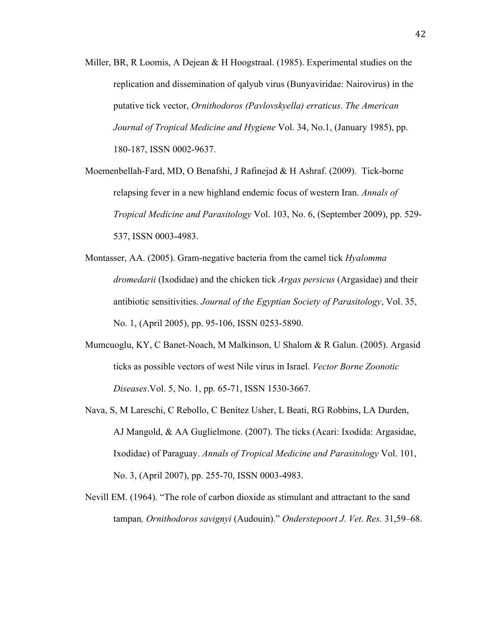Miller, BR, R Loomis, A Dejean & H Hoogstraal. (1985). Experimental studies on the replication and dissemination of qalyub virus (Bunyaviridae: Nairovirus) in the putative tick vector, *Ornithodoros (Pavlovskyella) erraticus. The American Journal of Tropical Medicine and Hygiene* Vol. 34, No.1, (January 1985), pp. 180-187, ISSN 0002-9637.

Moemenbellah-Fard, MD, O Benafshi, J Rafinejad & H Ashraf. (2009). Tick-borne relapsing fever in a new highland endemic focus of western Iran. *Annals of Tropical Medicine and Parasitology* Vol. 103, No. 6, (September 2009), pp. 529- 537, ISSN 0003-4983.

- Montasser, AA. (2005). Gram-negative bacteria from the camel tick *Hyalomma dromedarii* (Ixodidae) and the chicken tick *Argas persicus* (Argasidae) and their antibiotic sensitivities. *Journal of the Egyptian Society of Parasitology*, Vol. 35, No. 1, (April 2005), pp. 95-106, ISSN 0253-5890.
- Mumcuoglu, KY, C Banet-Noach, M Malkinson, U Shalom & R Galun. (2005). Argasid ticks as possible vectors of west Nile virus in Israel. *Vector Borne Zoonotic Diseases*.Vol. 5, No. 1, pp. 65-71, ISSN 1530-3667.
- Nava, S, M Lareschi, C Rebollo, C Benítez Usher, L Beati, RG Robbins, LA Durden, AJ Mangold, & AA Guglielmone. (2007). The ticks (Acari: Ixodida: Argasidae, Ixodidae) of Paraguay. *Annals of Tropical Medicine and Parasitology* Vol. 101, No. 3, (April 2007), pp. 255-70, ISSN 0003-4983.
- Nevill EM. (1964). "The role of carbon dioxide as stimulant and attractant to the sand tampan*, Ornithodoros savignyi* (Audouin)." *Onderstepoort J. Vet*. *Res.* 31,59–68.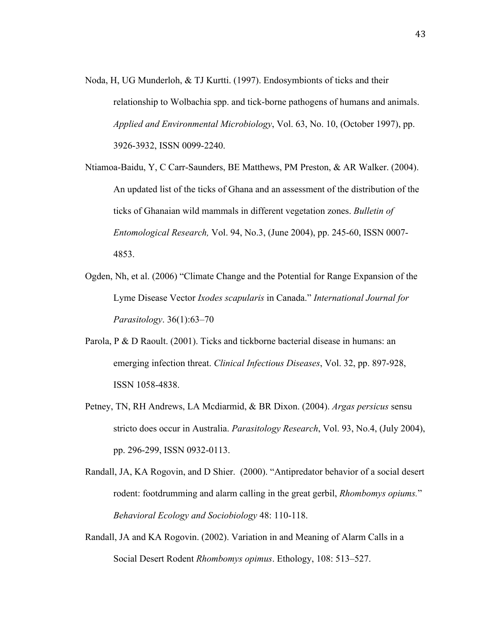Noda, H, UG Munderloh, & TJ Kurtti. (1997). Endosymbionts of ticks and their relationship to Wolbachia spp. and tick-borne pathogens of humans and animals. *Applied and Environmental Microbiology*, Vol. 63, No. 10, (October 1997), pp. 3926-3932, ISSN 0099-2240.

Ntiamoa-Baidu, Y, C Carr-Saunders, BE Matthews, PM Preston, & AR Walker. (2004). An updated list of the ticks of Ghana and an assessment of the distribution of the ticks of Ghanaian wild mammals in different vegetation zones. *Bulletin of Entomological Research,* Vol. 94, No.3, (June 2004), pp. 245-60, ISSN 0007- 4853.

- Ogden, Nh, et al. (2006) "Climate Change and the Potential for Range Expansion of the Lyme Disease Vector *Ixodes scapularis* in Canada." *International Journal for Parasitology*. 36(1):63–70
- Parola, P & D Raoult. (2001). Ticks and tickborne bacterial disease in humans: an emerging infection threat. *Clinical Infectious Diseases*, Vol. 32, pp. 897-928, ISSN 1058-4838.
- Petney, TN, RH Andrews, LA Mcdiarmid, & BR Dixon. (2004). *Argas persicus* sensu stricto does occur in Australia. *Parasitology Research*, Vol. 93, No.4, (July 2004), pp. 296-299, ISSN 0932-0113.
- Randall, JA, KA Rogovin, and D Shier. (2000). "Antipredator behavior of a social desert rodent: footdrumming and alarm calling in the great gerbil, *Rhombomys opiums.*" *Behavioral Ecology and Sociobiology* 48: 110-118.
- Randall, JA and KA Rogovin. (2002). Variation in and Meaning of Alarm Calls in a Social Desert Rodent *Rhombomys opimus*. Ethology, 108: 513–527.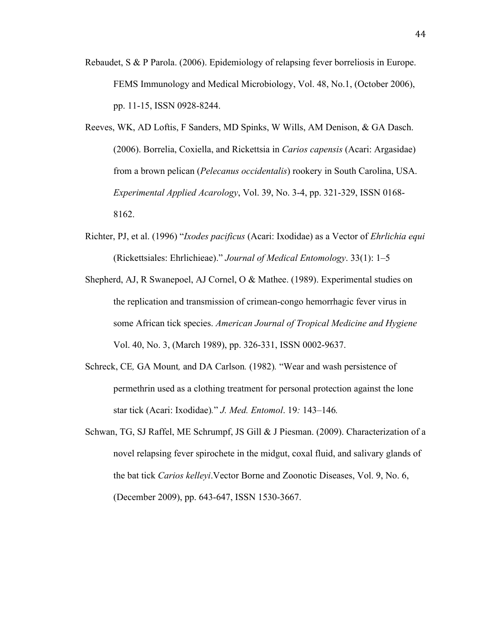- Rebaudet, S & P Parola. (2006). Epidemiology of relapsing fever borreliosis in Europe. FEMS Immunology and Medical Microbiology, Vol. 48, No.1, (October 2006), pp. 11-15, ISSN 0928-8244.
- Reeves, WK, AD Loftis, F Sanders, MD Spinks, W Wills, AM Denison, & GA Dasch. (2006). Borrelia, Coxiella, and Rickettsia in *Carios capensis* (Acari: Argasidae) from a brown pelican (*Pelecanus occidentalis*) rookery in South Carolina, USA. *Experimental Applied Acarology*, Vol. 39, No. 3-4, pp. 321-329, ISSN 0168- 8162.
- Richter, PJ, et al. (1996) "*Ixodes pacificus* (Acari: Ixodidae) as a Vector of *Ehrlichia equi* (Rickettsiales: Ehrlichieae)." *Journal of Medical Entomology*. 33(1): 1–5
- Shepherd, AJ, R Swanepoel, AJ Cornel, O & Mathee. (1989). Experimental studies on the replication and transmission of crimean-congo hemorrhagic fever virus in some African tick species. *American Journal of Tropical Medicine and Hygiene* Vol. 40, No. 3, (March 1989), pp. 326-331, ISSN 0002-9637.
- Schreck, CE*,* GA Mount*,* and DA Carlson*.* (1982)*.* "Wear and wash persistence of permethrin used as a clothing treatment for personal protection against the lone star tick (Acari: Ixodidae)*.*" *J. Med. Entomol*. 19*:* 143*–*146*.*
- Schwan, TG, SJ Raffel, ME Schrumpf, JS Gill & J Piesman. (2009). Characterization of a novel relapsing fever spirochete in the midgut, coxal fluid, and salivary glands of the bat tick *Carios kelleyi*.Vector Borne and Zoonotic Diseases, Vol. 9, No. 6, (December 2009), pp. 643-647, ISSN 1530-3667.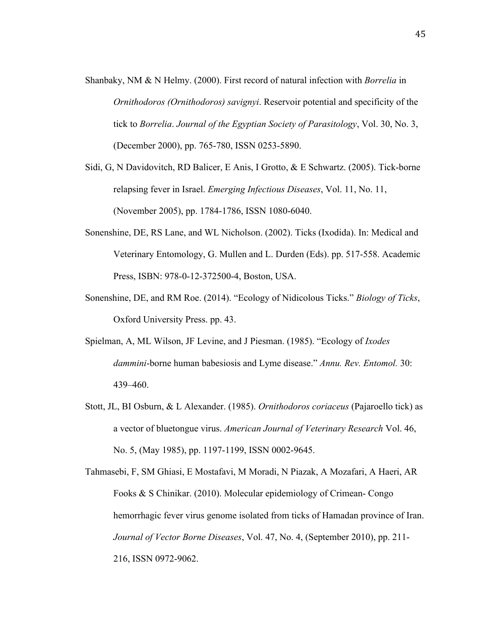- Shanbaky, NM & N Helmy. (2000). First record of natural infection with *Borrelia* in *Ornithodoros (Ornithodoros) savignyi*. Reservoir potential and specificity of the tick to *Borrelia*. *Journal of the Egyptian Society of Parasitology*, Vol. 30, No. 3, (December 2000), pp. 765-780, ISSN 0253-5890.
- Sidi, G, N Davidovitch, RD Balicer, E Anis, I Grotto, & E Schwartz. (2005). Tick-borne relapsing fever in Israel. *Emerging Infectious Diseases*, Vol. 11, No. 11, (November 2005), pp. 1784-1786, ISSN 1080-6040.
- Sonenshine, DE, RS Lane, and WL Nicholson. (2002). Ticks (Ixodida). In: Medical and Veterinary Entomology, G. Mullen and L. Durden (Eds). pp. 517-558. Academic Press, ISBN: 978-0-12-372500-4, Boston, USA.
- Sonenshine, DE, and RM Roe. (2014). "Ecology of Nidicolous Ticks." *Biology of Ticks*, Oxford University Press. pp. 43.
- Spielman, A, ML Wilson, JF Levine, and J Piesman. (1985). "Ecology of *Ixodes dammini*-borne human babesiosis and Lyme disease." *Annu. Rev. Entomol.* 30: 439–460.
- Stott, JL, BI Osburn, & L Alexander. (1985). *Ornithodoros coriaceus* (Pajaroello tick) as a vector of bluetongue virus. *American Journal of Veterinary Research* Vol. 46, No. 5, (May 1985), pp. 1197-1199, ISSN 0002-9645.
- Tahmasebi, F, SM Ghiasi, E Mostafavi, M Moradi, N Piazak, A Mozafari, A Haeri, AR Fooks & S Chinikar. (2010). Molecular epidemiology of Crimean- Congo hemorrhagic fever virus genome isolated from ticks of Hamadan province of Iran. *Journal of Vector Borne Diseases*, Vol. 47, No. 4, (September 2010), pp. 211- 216, ISSN 0972-9062.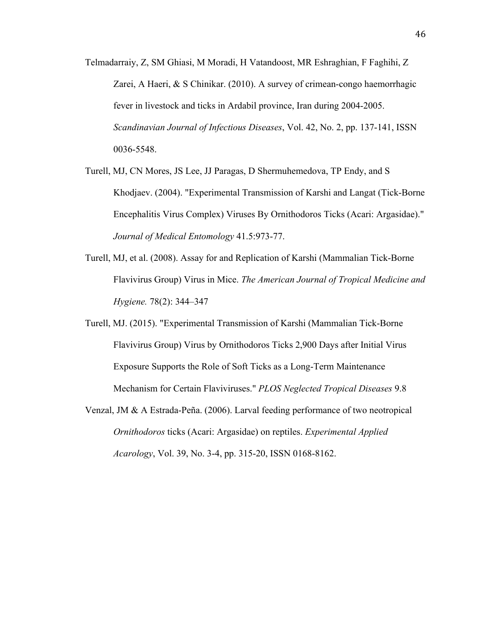- Telmadarraiy, Z, SM Ghiasi, M Moradi, H Vatandoost, MR Eshraghian, F Faghihi, Z Zarei, A Haeri, & S Chinikar. (2010). A survey of crimean-congo haemorrhagic fever in livestock and ticks in Ardabil province, Iran during 2004-2005. *Scandinavian Journal of Infectious Diseases*, Vol. 42, No. 2, pp. 137-141, ISSN 0036-5548.
- Turell, MJ, CN Mores, JS Lee, JJ Paragas, D Shermuhemedova, TP Endy, and S Khodjaev. (2004). "Experimental Transmission of Karshi and Langat (Tick-Borne Encephalitis Virus Complex) Viruses By Ornithodoros Ticks (Acari: Argasidae)." *Journal of Medical Entomology* 41.5:973-77.
- Turell, MJ, et al. (2008). Assay for and Replication of Karshi (Mammalian Tick-Borne Flavivirus Group) Virus in Mice. *The American Journal of Tropical Medicine and Hygiene.* 78(2): 344–347
- Turell, MJ. (2015). "Experimental Transmission of Karshi (Mammalian Tick-Borne Flavivirus Group) Virus by Ornithodoros Ticks 2,900 Days after Initial Virus Exposure Supports the Role of Soft Ticks as a Long-Term Maintenance Mechanism for Certain Flaviviruses." *PLOS Neglected Tropical Diseases* 9.8
- Venzal, JM & A Estrada-Peña. (2006). Larval feeding performance of two neotropical *Ornithodoros* ticks (Acari: Argasidae) on reptiles. *Experimental Applied Acarology*, Vol. 39, No. 3-4, pp. 315-20, ISSN 0168-8162.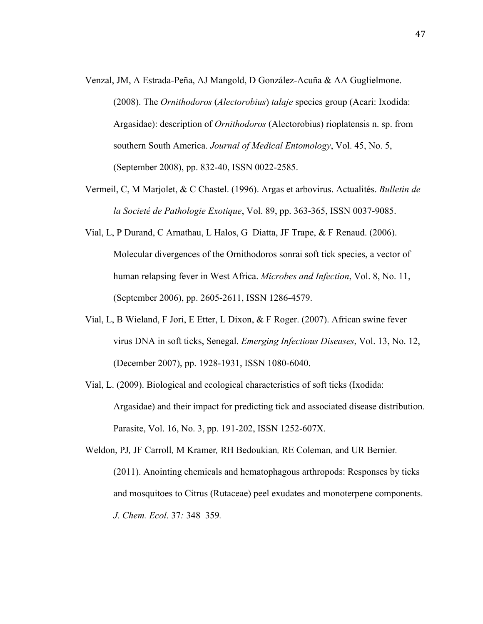- Venzal, JM, A Estrada-Peña, AJ Mangold, D González-Acuña & AA Guglielmone. (2008). The *Ornithodoros* (*Alectorobius*) *talaje* species group (Acari: Ixodida: Argasidae): description of *Ornithodoros* (Alectorobius) rioplatensis n. sp. from southern South America. *Journal of Medical Entomology*, Vol. 45, No. 5, (September 2008), pp. 832-40, ISSN 0022-2585.
- Vermeil, C, M Marjolet, & C Chastel. (1996). Argas et arbovirus. Actualités. *Bulletin de la Societé de Pathologie Exotique*, Vol. 89, pp. 363-365, ISSN 0037-9085.
- Vial, L, P Durand, C Arnathau, L Halos, G Diatta, JF Trape, & F Renaud. (2006). Molecular divergences of the Ornithodoros sonrai soft tick species, a vector of human relapsing fever in West Africa. *Microbes and Infection*, Vol. 8, No. 11, (September 2006), pp. 2605-2611, ISSN 1286-4579.
- Vial, L, B Wieland, F Jori, E Etter, L Dixon, & F Roger. (2007). African swine fever virus DNA in soft ticks, Senegal. *Emerging Infectious Diseases*, Vol. 13, No. 12, (December 2007), pp. 1928-1931, ISSN 1080-6040.
- Vial, L. (2009). Biological and ecological characteristics of soft ticks (Ixodida: Argasidae) and their impact for predicting tick and associated disease distribution. Parasite, Vol. 16, No. 3, pp. 191-202, ISSN 1252-607X.
- Weldon, PJ*,* JF Carroll*,* M Kramer*,* RH Bedoukian*,* RE Coleman*,* and UR Bernier*.*  (2011). Anointing chemicals and hematophagous arthropods: Responses by ticks and mosquitoes to Citrus (Rutaceae) peel exudates and monoterpene components. *J. Chem. Ecol*. 37*:* 348*–*359*.*